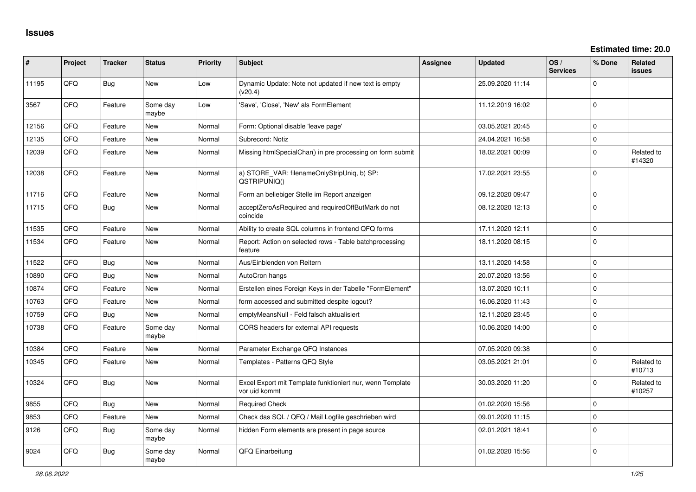| ∦     | Project | <b>Tracker</b> | <b>Status</b>     | <b>Priority</b> | <b>Subject</b>                                                             | <b>Assignee</b> | <b>Updated</b>   | OS/<br><b>Services</b> | % Done       | Related<br><b>issues</b> |
|-------|---------|----------------|-------------------|-----------------|----------------------------------------------------------------------------|-----------------|------------------|------------------------|--------------|--------------------------|
| 11195 | QFQ     | <b>Bug</b>     | <b>New</b>        | Low             | Dynamic Update: Note not updated if new text is empty<br>(v20.4)           |                 | 25.09.2020 11:14 |                        | $\Omega$     |                          |
| 3567  | QFQ     | Feature        | Some day<br>maybe | Low             | 'Save', 'Close', 'New' als FormElement                                     |                 | 11.12.2019 16:02 |                        | $\Omega$     |                          |
| 12156 | QFQ     | Feature        | <b>New</b>        | Normal          | Form: Optional disable 'leave page'                                        |                 | 03.05.2021 20:45 |                        | $\mathbf{0}$ |                          |
| 12135 | QFQ     | Feature        | New               | Normal          | Subrecord: Notiz                                                           |                 | 24.04.2021 16:58 |                        | $\mathbf{0}$ |                          |
| 12039 | QFQ     | Feature        | <b>New</b>        | Normal          | Missing htmlSpecialChar() in pre processing on form submit                 |                 | 18.02.2021 00:09 |                        | $\mathbf 0$  | Related to<br>#14320     |
| 12038 | QFQ     | Feature        | New               | Normal          | a) STORE_VAR: filenameOnlyStripUniq, b) SP:<br>QSTRIPUNIQ()                |                 | 17.02.2021 23:55 |                        | $\Omega$     |                          |
| 11716 | QFQ     | Feature        | <b>New</b>        | Normal          | Form an beliebiger Stelle im Report anzeigen                               |                 | 09.12.2020 09:47 |                        | $\mathbf{0}$ |                          |
| 11715 | QFQ     | Bug            | New               | Normal          | acceptZeroAsRequired and requiredOffButMark do not<br>coincide             |                 | 08.12.2020 12:13 |                        | $\mathbf{0}$ |                          |
| 11535 | QFQ     | Feature        | <b>New</b>        | Normal          | Ability to create SQL columns in frontend QFQ forms                        |                 | 17.11.2020 12:11 |                        | $\mathbf 0$  |                          |
| 11534 | QFQ     | Feature        | New               | Normal          | Report: Action on selected rows - Table batchprocessing<br>feature         |                 | 18.11.2020 08:15 |                        | $\mathbf 0$  |                          |
| 11522 | QFQ     | Bug            | <b>New</b>        | Normal          | Aus/Einblenden von Reitern                                                 |                 | 13.11.2020 14:58 |                        | $\mathbf{0}$ |                          |
| 10890 | QFQ     | Bug            | <b>New</b>        | Normal          | AutoCron hangs                                                             |                 | 20.07.2020 13:56 |                        | $\mathbf{0}$ |                          |
| 10874 | QFQ     | Feature        | <b>New</b>        | Normal          | Erstellen eines Foreign Keys in der Tabelle "FormElement"                  |                 | 13.07.2020 10:11 |                        | $\mathbf{0}$ |                          |
| 10763 | QFQ     | Feature        | New               | Normal          | form accessed and submitted despite logout?                                |                 | 16.06.2020 11:43 |                        | $\Omega$     |                          |
| 10759 | QFQ     | Bug            | <b>New</b>        | Normal          | emptyMeansNull - Feld falsch aktualisiert                                  |                 | 12.11.2020 23:45 |                        | $\mathbf 0$  |                          |
| 10738 | QFQ     | Feature        | Some day<br>maybe | Normal          | CORS headers for external API requests                                     |                 | 10.06.2020 14:00 |                        | $\mathbf{0}$ |                          |
| 10384 | QFQ     | Feature        | <b>New</b>        | Normal          | Parameter Exchange QFQ Instances                                           |                 | 07.05.2020 09:38 |                        | $\mathbf 0$  |                          |
| 10345 | QFQ     | Feature        | <b>New</b>        | Normal          | Templates - Patterns QFQ Style                                             |                 | 03.05.2021 21:01 |                        | $\Omega$     | Related to<br>#10713     |
| 10324 | QFQ     | <b>Bug</b>     | New               | Normal          | Excel Export mit Template funktioniert nur, wenn Template<br>vor uid kommt |                 | 30.03.2020 11:20 |                        | $\Omega$     | Related to<br>#10257     |
| 9855  | QFQ     | Bug            | <b>New</b>        | Normal          | <b>Required Check</b>                                                      |                 | 01.02.2020 15:56 |                        | $\mathbf 0$  |                          |
| 9853  | QFQ     | Feature        | <b>New</b>        | Normal          | Check das SQL / QFQ / Mail Logfile geschrieben wird                        |                 | 09.01.2020 11:15 |                        | $\mathbf{0}$ |                          |
| 9126  | QFQ     | <b>Bug</b>     | Some day<br>maybe | Normal          | hidden Form elements are present in page source                            |                 | 02.01.2021 18:41 |                        | $\mathbf 0$  |                          |
| 9024  | QFQ     | Bug            | Some day<br>maybe | Normal          | QFQ Einarbeitung                                                           |                 | 01.02.2020 15:56 |                        | $\Omega$     |                          |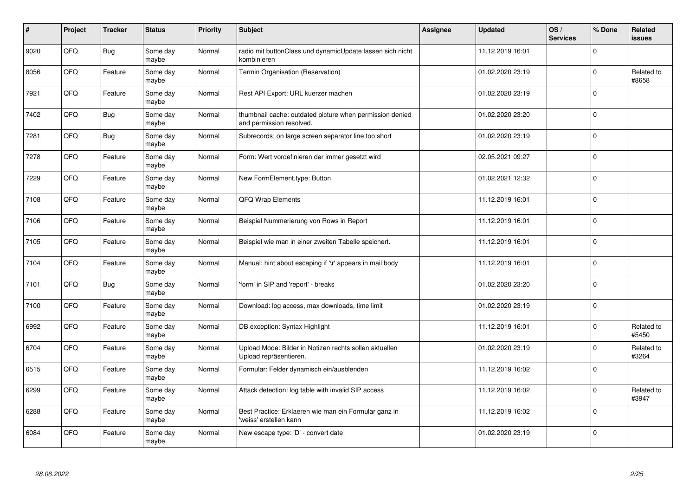| $\vert$ # | Project | <b>Tracker</b> | <b>Status</b>     | <b>Priority</b> | <b>Subject</b>                                                                       | <b>Assignee</b> | <b>Updated</b>   | OS/<br><b>Services</b> | % Done      | Related<br><b>issues</b> |
|-----------|---------|----------------|-------------------|-----------------|--------------------------------------------------------------------------------------|-----------------|------------------|------------------------|-------------|--------------------------|
| 9020      | QFQ     | <b>Bug</b>     | Some day<br>maybe | Normal          | radio mit buttonClass und dynamicUpdate lassen sich nicht<br>kombinieren             |                 | 11.12.2019 16:01 |                        | $\Omega$    |                          |
| 8056      | QFQ     | Feature        | Some day<br>maybe | Normal          | Termin Organisation (Reservation)                                                    |                 | 01.02.2020 23:19 |                        | $\Omega$    | Related to<br>#8658      |
| 7921      | QFQ     | Feature        | Some day<br>maybe | Normal          | Rest API Export: URL kuerzer machen                                                  |                 | 01.02.2020 23:19 |                        | $\Omega$    |                          |
| 7402      | QFQ     | Bug            | Some day<br>maybe | Normal          | thumbnail cache: outdated picture when permission denied<br>and permission resolved. |                 | 01.02.2020 23:20 |                        | $\Omega$    |                          |
| 7281      | QFQ     | Bug            | Some day<br>maybe | Normal          | Subrecords: on large screen separator line too short                                 |                 | 01.02.2020 23:19 |                        | $\Omega$    |                          |
| 7278      | QFQ     | Feature        | Some day<br>maybe | Normal          | Form: Wert vordefinieren der immer gesetzt wird                                      |                 | 02.05.2021 09:27 |                        | $\Omega$    |                          |
| 7229      | QFQ     | Feature        | Some day<br>maybe | Normal          | New FormElement.type: Button                                                         |                 | 01.02.2021 12:32 |                        | $\mathbf 0$ |                          |
| 7108      | QFQ     | Feature        | Some day<br>maybe | Normal          | QFQ Wrap Elements                                                                    |                 | 11.12.2019 16:01 |                        | $\Omega$    |                          |
| 7106      | QFQ     | Feature        | Some day<br>maybe | Normal          | Beispiel Nummerierung von Rows in Report                                             |                 | 11.12.2019 16:01 |                        | $\Omega$    |                          |
| 7105      | QFQ     | Feature        | Some day<br>maybe | Normal          | Beispiel wie man in einer zweiten Tabelle speichert.                                 |                 | 11.12.2019 16:01 |                        | $\mathbf 0$ |                          |
| 7104      | QFQ     | Feature        | Some day<br>maybe | Normal          | Manual: hint about escaping if '\r' appears in mail body                             |                 | 11.12.2019 16:01 |                        | $\Omega$    |                          |
| 7101      | QFQ     | <b>Bug</b>     | Some day<br>maybe | Normal          | 'form' in SIP and 'report' - breaks                                                  |                 | 01.02.2020 23:20 |                        | $\Omega$    |                          |
| 7100      | QFQ     | Feature        | Some day<br>maybe | Normal          | Download: log access, max downloads, time limit                                      |                 | 01.02.2020 23:19 |                        | $\mathbf 0$ |                          |
| 6992      | QFQ     | Feature        | Some day<br>maybe | Normal          | DB exception: Syntax Highlight                                                       |                 | 11.12.2019 16:01 |                        | 0           | Related to<br>#5450      |
| 6704      | QFQ     | Feature        | Some day<br>maybe | Normal          | Upload Mode: Bilder in Notizen rechts sollen aktuellen<br>Upload repräsentieren.     |                 | 01.02.2020 23:19 |                        | $\Omega$    | Related to<br>#3264      |
| 6515      | QFQ     | Feature        | Some day<br>maybe | Normal          | Formular: Felder dynamisch ein/ausblenden                                            |                 | 11.12.2019 16:02 |                        | $\Omega$    |                          |
| 6299      | QFQ     | Feature        | Some day<br>maybe | Normal          | Attack detection: log table with invalid SIP access                                  |                 | 11.12.2019 16:02 |                        | $\Omega$    | Related to<br>#3947      |
| 6288      | QFQ     | Feature        | Some day<br>maybe | Normal          | Best Practice: Erklaeren wie man ein Formular ganz in<br>'weiss' erstellen kann      |                 | 11.12.2019 16:02 |                        | $\Omega$    |                          |
| 6084      | QFQ     | Feature        | Some day<br>maybe | Normal          | New escape type: 'D' - convert date                                                  |                 | 01.02.2020 23:19 |                        | $\Omega$    |                          |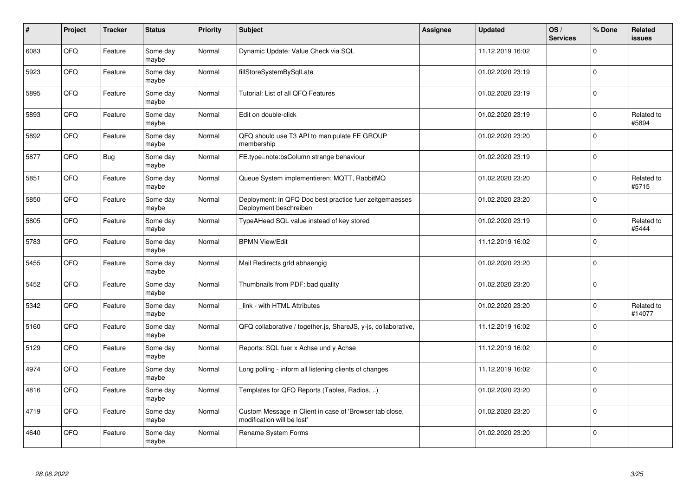| $\vert$ # | Project | <b>Tracker</b> | <b>Status</b>     | <b>Priority</b> | <b>Subject</b>                                                                        | Assignee | <b>Updated</b>   | OS/<br><b>Services</b> | % Done      | Related<br><b>issues</b> |
|-----------|---------|----------------|-------------------|-----------------|---------------------------------------------------------------------------------------|----------|------------------|------------------------|-------------|--------------------------|
| 6083      | QFQ     | Feature        | Some day<br>maybe | Normal          | Dynamic Update: Value Check via SQL                                                   |          | 11.12.2019 16:02 |                        | $\Omega$    |                          |
| 5923      | QFQ     | Feature        | Some day<br>maybe | Normal          | fillStoreSystemBySqlLate                                                              |          | 01.02.2020 23:19 |                        | $\Omega$    |                          |
| 5895      | QFQ     | Feature        | Some day<br>maybe | Normal          | Tutorial: List of all QFQ Features                                                    |          | 01.02.2020 23:19 |                        | $\Omega$    |                          |
| 5893      | QFQ     | Feature        | Some day<br>maybe | Normal          | Edit on double-click                                                                  |          | 01.02.2020 23:19 |                        | $\Omega$    | Related to<br>#5894      |
| 5892      | QFQ     | Feature        | Some day<br>maybe | Normal          | QFQ should use T3 API to manipulate FE GROUP<br>membership                            |          | 01.02.2020 23:20 |                        | $\mathbf 0$ |                          |
| 5877      | QFQ     | Bug            | Some day<br>maybe | Normal          | FE.type=note:bsColumn strange behaviour                                               |          | 01.02.2020 23:19 |                        | $\Omega$    |                          |
| 5851      | QFQ     | Feature        | Some day<br>maybe | Normal          | Queue System implementieren: MQTT, RabbitMQ                                           |          | 01.02.2020 23:20 |                        | $\Omega$    | Related to<br>#5715      |
| 5850      | QFQ     | Feature        | Some day<br>maybe | Normal          | Deployment: In QFQ Doc best practice fuer zeitgemaesses<br>Deployment beschreiben     |          | 01.02.2020 23:20 |                        | $\Omega$    |                          |
| 5805      | QFQ     | Feature        | Some day<br>maybe | Normal          | TypeAHead SQL value instead of key stored                                             |          | 01.02.2020 23:19 |                        | $\Omega$    | Related to<br>#5444      |
| 5783      | QFQ     | Feature        | Some day<br>maybe | Normal          | <b>BPMN View/Edit</b>                                                                 |          | 11.12.2019 16:02 |                        | $\Omega$    |                          |
| 5455      | QFQ     | Feature        | Some day<br>maybe | Normal          | Mail Redirects grld abhaengig                                                         |          | 01.02.2020 23:20 |                        | $\Omega$    |                          |
| 5452      | QFQ     | Feature        | Some day<br>maybe | Normal          | Thumbnails from PDF: bad quality                                                      |          | 01.02.2020 23:20 |                        | $\mathbf 0$ |                          |
| 5342      | QFQ     | Feature        | Some day<br>maybe | Normal          | link - with HTML Attributes                                                           |          | 01.02.2020 23:20 |                        | $\Omega$    | Related to<br>#14077     |
| 5160      | QFQ     | Feature        | Some day<br>maybe | Normal          | QFQ collaborative / together.js, ShareJS, y-js, collaborative,                        |          | 11.12.2019 16:02 |                        | $\Omega$    |                          |
| 5129      | QFQ     | Feature        | Some day<br>maybe | Normal          | Reports: SQL fuer x Achse und y Achse                                                 |          | 11.12.2019 16:02 |                        | $\Omega$    |                          |
| 4974      | QFQ     | Feature        | Some day<br>maybe | Normal          | Long polling - inform all listening clients of changes                                |          | 11.12.2019 16:02 |                        | $\Omega$    |                          |
| 4816      | QFQ     | Feature        | Some day<br>maybe | Normal          | Templates for QFQ Reports (Tables, Radios, )                                          |          | 01.02.2020 23:20 |                        | $\Omega$    |                          |
| 4719      | QFQ     | Feature        | Some day<br>maybe | Normal          | Custom Message in Client in case of 'Browser tab close,<br>modification will be lost' |          | 01.02.2020 23:20 |                        | $\mathbf 0$ |                          |
| 4640      | QFQ     | Feature        | Some day<br>maybe | Normal          | Rename System Forms                                                                   |          | 01.02.2020 23:20 |                        | $\Omega$    |                          |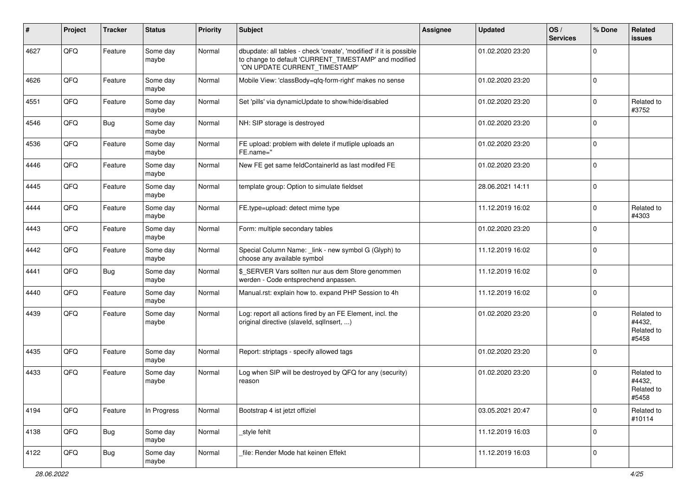| ∦    | Project | <b>Tracker</b> | <b>Status</b>     | <b>Priority</b> | <b>Subject</b>                                                                                                                                                | Assignee | <b>Updated</b>   | OS/<br><b>Services</b> | % Done      | Related<br><b>issues</b>                    |
|------|---------|----------------|-------------------|-----------------|---------------------------------------------------------------------------------------------------------------------------------------------------------------|----------|------------------|------------------------|-------------|---------------------------------------------|
| 4627 | QFQ     | Feature        | Some day<br>maybe | Normal          | dbupdate: all tables - check 'create', 'modified' if it is possible<br>to change to default 'CURRENT_TIMESTAMP' and modified<br>'ON UPDATE CURRENT_TIMESTAMP' |          | 01.02.2020 23:20 |                        | $\Omega$    |                                             |
| 4626 | QFQ     | Feature        | Some day<br>maybe | Normal          | Mobile View: 'classBody=qfq-form-right' makes no sense                                                                                                        |          | 01.02.2020 23:20 |                        | $\mathbf 0$ |                                             |
| 4551 | QFQ     | Feature        | Some day<br>maybe | Normal          | Set 'pills' via dynamicUpdate to show/hide/disabled                                                                                                           |          | 01.02.2020 23:20 |                        | $\mathbf 0$ | Related to<br>#3752                         |
| 4546 | QFQ     | <b>Bug</b>     | Some day<br>maybe | Normal          | NH: SIP storage is destroyed                                                                                                                                  |          | 01.02.2020 23:20 |                        | $\Omega$    |                                             |
| 4536 | QFQ     | Feature        | Some day<br>maybe | Normal          | FE upload: problem with delete if mutliple uploads an<br>FE.name="                                                                                            |          | 01.02.2020 23:20 |                        | $\mathbf 0$ |                                             |
| 4446 | QFQ     | Feature        | Some day<br>maybe | Normal          | New FE get same feldContainerId as last modifed FE                                                                                                            |          | 01.02.2020 23:20 |                        | $\mathbf 0$ |                                             |
| 4445 | QFQ     | Feature        | Some day<br>maybe | Normal          | template group: Option to simulate fieldset                                                                                                                   |          | 28.06.2021 14:11 |                        | $\Omega$    |                                             |
| 4444 | QFQ     | Feature        | Some day<br>maybe | Normal          | FE.type=upload: detect mime type                                                                                                                              |          | 11.12.2019 16:02 |                        | $\Omega$    | Related to<br>#4303                         |
| 4443 | QFQ     | Feature        | Some day<br>maybe | Normal          | Form: multiple secondary tables                                                                                                                               |          | 01.02.2020 23:20 |                        | $\mathbf 0$ |                                             |
| 4442 | QFQ     | Feature        | Some day<br>maybe | Normal          | Special Column Name: _link - new symbol G (Glyph) to<br>choose any available symbol                                                                           |          | 11.12.2019 16:02 |                        | 0           |                                             |
| 4441 | QFQ     | Bug            | Some day<br>maybe | Normal          | \$_SERVER Vars sollten nur aus dem Store genommen<br>werden - Code entsprechend anpassen.                                                                     |          | 11.12.2019 16:02 |                        | $\Omega$    |                                             |
| 4440 | QFQ     | Feature        | Some day<br>maybe | Normal          | Manual.rst: explain how to. expand PHP Session to 4h                                                                                                          |          | 11.12.2019 16:02 |                        | $\Omega$    |                                             |
| 4439 | QFQ     | Feature        | Some day<br>maybe | Normal          | Log: report all actions fired by an FE Element, incl. the<br>original directive (slaveld, sqlInsert, )                                                        |          | 01.02.2020 23:20 |                        | $\Omega$    | Related to<br>#4432,<br>Related to<br>#5458 |
| 4435 | QFQ     | Feature        | Some day<br>maybe | Normal          | Report: striptags - specify allowed tags                                                                                                                      |          | 01.02.2020 23:20 |                        | $\Omega$    |                                             |
| 4433 | QFQ     | Feature        | Some day<br>maybe | Normal          | Log when SIP will be destroyed by QFQ for any (security)<br>reason                                                                                            |          | 01.02.2020 23:20 |                        | $\Omega$    | Related to<br>#4432,<br>Related to<br>#5458 |
| 4194 | QFQ     | Feature        | In Progress       | Normal          | Bootstrap 4 ist jetzt offiziel                                                                                                                                |          | 03.05.2021 20:47 |                        | $\mathbf 0$ | Related to<br>#10114                        |
| 4138 | QFQ     | <b>Bug</b>     | Some day<br>maybe | Normal          | style fehlt                                                                                                                                                   |          | 11.12.2019 16:03 |                        | 0           |                                             |
| 4122 | QFQ     | Bug            | Some day<br>maybe | Normal          | file: Render Mode hat keinen Effekt                                                                                                                           |          | 11.12.2019 16:03 |                        | 0           |                                             |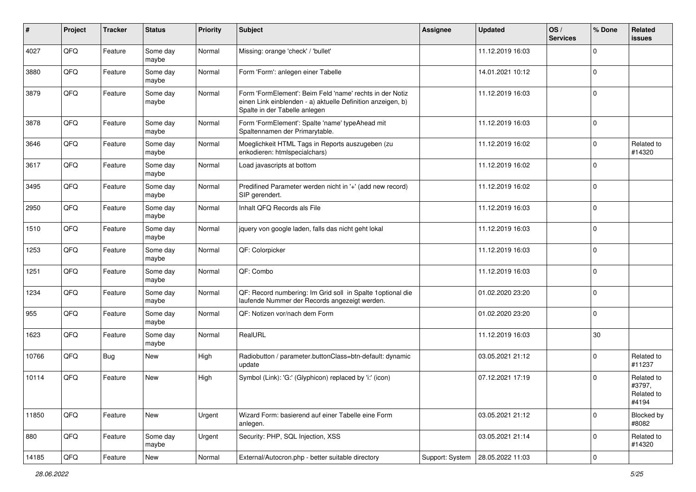| #     | Project | <b>Tracker</b> | <b>Status</b>     | <b>Priority</b> | <b>Subject</b>                                                                                                                                           | Assignee        | <b>Updated</b>   | OS/<br><b>Services</b> | % Done      | Related<br><b>issues</b>                    |
|-------|---------|----------------|-------------------|-----------------|----------------------------------------------------------------------------------------------------------------------------------------------------------|-----------------|------------------|------------------------|-------------|---------------------------------------------|
| 4027  | QFQ     | Feature        | Some day<br>maybe | Normal          | Missing: orange 'check' / 'bullet'                                                                                                                       |                 | 11.12.2019 16:03 |                        | $\Omega$    |                                             |
| 3880  | QFQ     | Feature        | Some day<br>maybe | Normal          | Form 'Form': anlegen einer Tabelle                                                                                                                       |                 | 14.01.2021 10:12 |                        | 0           |                                             |
| 3879  | QFQ     | Feature        | Some day<br>maybe | Normal          | Form 'FormElement': Beim Feld 'name' rechts in der Notiz<br>einen Link einblenden - a) aktuelle Definition anzeigen, b)<br>Spalte in der Tabelle anlegen |                 | 11.12.2019 16:03 |                        | $\mathbf 0$ |                                             |
| 3878  | QFQ     | Feature        | Some day<br>maybe | Normal          | Form 'FormElement': Spalte 'name' typeAhead mit<br>Spaltennamen der Primarytable.                                                                        |                 | 11.12.2019 16:03 |                        | $\mathbf 0$ |                                             |
| 3646  | QFQ     | Feature        | Some day<br>maybe | Normal          | Moeglichkeit HTML Tags in Reports auszugeben (zu<br>enkodieren: htmlspecialchars)                                                                        |                 | 11.12.2019 16:02 |                        | $\mathbf 0$ | Related to<br>#14320                        |
| 3617  | QFQ     | Feature        | Some day<br>maybe | Normal          | Load javascripts at bottom                                                                                                                               |                 | 11.12.2019 16:02 |                        | 0           |                                             |
| 3495  | QFQ     | Feature        | Some day<br>maybe | Normal          | Predifined Parameter werden nicht in '+' (add new record)<br>SIP gerendert.                                                                              |                 | 11.12.2019 16:02 |                        | $\mathbf 0$ |                                             |
| 2950  | QFQ     | Feature        | Some day<br>maybe | Normal          | Inhalt QFQ Records als File                                                                                                                              |                 | 11.12.2019 16:03 |                        | $\Omega$    |                                             |
| 1510  | QFQ     | Feature        | Some day<br>maybe | Normal          | jquery von google laden, falls das nicht geht lokal                                                                                                      |                 | 11.12.2019 16:03 |                        | $\mathbf 0$ |                                             |
| 1253  | QFQ     | Feature        | Some day<br>maybe | Normal          | QF: Colorpicker                                                                                                                                          |                 | 11.12.2019 16:03 |                        | 0           |                                             |
| 1251  | QFQ     | Feature        | Some day<br>maybe | Normal          | QF: Combo                                                                                                                                                |                 | 11.12.2019 16:03 |                        | $\Omega$    |                                             |
| 1234  | QFQ     | Feature        | Some day<br>maybe | Normal          | QF: Record numbering: Im Grid soll in Spalte 1optional die<br>laufende Nummer der Records angezeigt werden.                                              |                 | 01.02.2020 23:20 |                        | $\mathbf 0$ |                                             |
| 955   | QFQ     | Feature        | Some day<br>maybe | Normal          | QF: Notizen vor/nach dem Form                                                                                                                            |                 | 01.02.2020 23:20 |                        | $\mathbf 0$ |                                             |
| 1623  | QFQ     | Feature        | Some day<br>maybe | Normal          | RealURL                                                                                                                                                  |                 | 11.12.2019 16:03 |                        | 30          |                                             |
| 10766 | QFQ     | Bug            | <b>New</b>        | High            | Radiobutton / parameter.buttonClass=btn-default: dynamic<br>update                                                                                       |                 | 03.05.2021 21:12 |                        | $\Omega$    | Related to<br>#11237                        |
| 10114 | QFQ     | Feature        | <b>New</b>        | High            | Symbol (Link): 'G:' (Glyphicon) replaced by 'i:' (icon)                                                                                                  |                 | 07.12.2021 17:19 |                        | $\Omega$    | Related to<br>#3797,<br>Related to<br>#4194 |
| 11850 | QFQ     | Feature        | New               | Urgent          | Wizard Form: basierend auf einer Tabelle eine Form<br>anlegen.                                                                                           |                 | 03.05.2021 21:12 |                        | $\mathbf 0$ | Blocked by<br>#8082                         |
| 880   | QFQ     | Feature        | Some day<br>maybe | Urgent          | Security: PHP, SQL Injection, XSS                                                                                                                        |                 | 03.05.2021 21:14 |                        | 0           | Related to<br>#14320                        |
| 14185 | QFQ     | Feature        | New               | Normal          | External/Autocron.php - better suitable directory                                                                                                        | Support: System | 28.05.2022 11:03 |                        | 0           |                                             |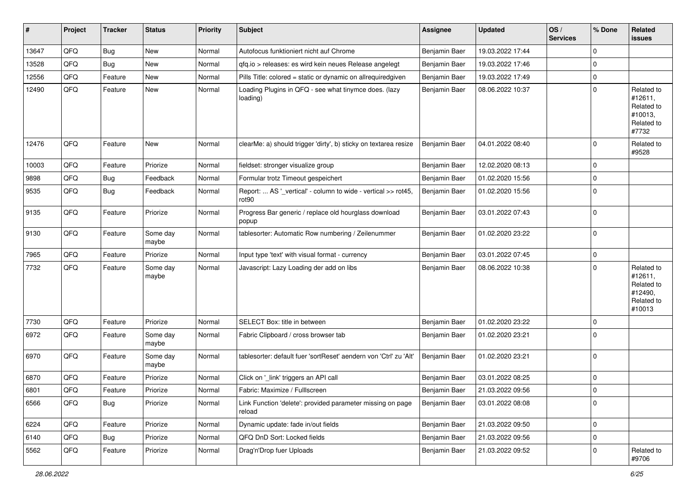| #     | Project | <b>Tracker</b> | <b>Status</b>     | <b>Priority</b> | Subject                                                                            | Assignee      | <b>Updated</b>   | OS/<br><b>Services</b> | % Done      | Related<br>issues                                                      |
|-------|---------|----------------|-------------------|-----------------|------------------------------------------------------------------------------------|---------------|------------------|------------------------|-------------|------------------------------------------------------------------------|
| 13647 | QFQ     | <b>Bug</b>     | <b>New</b>        | Normal          | Autofocus funktioniert nicht auf Chrome                                            | Benjamin Baer | 19.03.2022 17:44 |                        | $\mathbf 0$ |                                                                        |
| 13528 | QFQ     | Bug            | <b>New</b>        | Normal          | gfg.io > releases: es wird kein neues Release angelegt                             | Benjamin Baer | 19.03.2022 17:46 |                        | $\Omega$    |                                                                        |
| 12556 | QFQ     | Feature        | <b>New</b>        | Normal          | Pills Title: colored = static or dynamic on allrequiredgiven                       | Benjamin Baer | 19.03.2022 17:49 |                        | 0           |                                                                        |
| 12490 | QFQ     | Feature        | <b>New</b>        | Normal          | Loading Plugins in QFQ - see what tinymce does. (lazy<br>loading)                  | Benjamin Baer | 08.06.2022 10:37 |                        | $\Omega$    | Related to<br>#12611,<br>Related to<br>#10013,<br>Related to<br>#7732  |
| 12476 | QFQ     | Feature        | <b>New</b>        | Normal          | clearMe: a) should trigger 'dirty', b) sticky on textarea resize                   | Benjamin Baer | 04.01.2022 08:40 |                        | $\Omega$    | Related to<br>#9528                                                    |
| 10003 | QFQ     | Feature        | Priorize          | Normal          | fieldset: stronger visualize group                                                 | Benjamin Baer | 12.02.2020 08:13 |                        | $\Omega$    |                                                                        |
| 9898  | QFQ     | Bug            | Feedback          | Normal          | Formular trotz Timeout gespeichert                                                 | Benjamin Baer | 01.02.2020 15:56 |                        | $\mathbf 0$ |                                                                        |
| 9535  | QFQ     | <b>Bug</b>     | Feedback          | Normal          | Report:  AS '_vertical' - column to wide - vertical >> rot45,<br>rot <sub>90</sub> | Benjamin Baer | 01.02.2020 15:56 |                        | $\Omega$    |                                                                        |
| 9135  | QFQ     | Feature        | Priorize          | Normal          | Progress Bar generic / replace old hourglass download<br>popup                     | Benjamin Baer | 03.01.2022 07:43 |                        | $\Omega$    |                                                                        |
| 9130  | QFQ     | Feature        | Some day<br>maybe | Normal          | tablesorter: Automatic Row numbering / Zeilenummer                                 | Benjamin Baer | 01.02.2020 23:22 |                        | $\mathbf 0$ |                                                                        |
| 7965  | QFQ     | Feature        | Priorize          | Normal          | Input type 'text' with visual format - currency                                    | Benjamin Baer | 03.01.2022 07:45 |                        | $\mathbf 0$ |                                                                        |
| 7732  | QFQ     | Feature        | Some day<br>maybe | Normal          | Javascript: Lazy Loading der add on libs                                           | Benjamin Baer | 08.06.2022 10:38 |                        | $\Omega$    | Related to<br>#12611,<br>Related to<br>#12490,<br>Related to<br>#10013 |
| 7730  | QFQ     | Feature        | Priorize          | Normal          | SELECT Box: title in between                                                       | Benjamin Baer | 01.02.2020 23:22 |                        | 0           |                                                                        |
| 6972  | QFQ     | Feature        | Some day<br>maybe | Normal          | Fabric Clipboard / cross browser tab                                               | Benjamin Baer | 01.02.2020 23:21 |                        | $\Omega$    |                                                                        |
| 6970  | QFQ     | Feature        | Some day<br>maybe | Normal          | tablesorter: default fuer 'sortReset' aendern von 'Ctrl' zu 'Alt'                  | Benjamin Baer | 01.02.2020 23:21 |                        | $\Omega$    |                                                                        |
| 6870  | QFQ     | Feature        | Priorize          | Normal          | Click on '_link' triggers an API call                                              | Benjamin Baer | 03.01.2022 08:25 |                        | 0           |                                                                        |
| 6801  | QFQ     | Feature        | Priorize          | Normal          | Fabric: Maximize / Fulllscreen                                                     | Benjamin Baer | 21.03.2022 09:56 |                        | 0           |                                                                        |
| 6566  | QFQ     | Bug            | Priorize          | Normal          | Link Function 'delete': provided parameter missing on page<br>reload               | Benjamin Baer | 03.01.2022 08:08 |                        | 0           |                                                                        |
| 6224  | QFQ     | Feature        | Priorize          | Normal          | Dynamic update: fade in/out fields                                                 | Benjamin Baer | 21.03.2022 09:50 |                        | $\mathbf 0$ |                                                                        |
| 6140  | QFQ     | <b>Bug</b>     | Priorize          | Normal          | QFQ DnD Sort: Locked fields                                                        | Benjamin Baer | 21.03.2022 09:56 |                        | 0           |                                                                        |
| 5562  | QFQ     | Feature        | Priorize          | Normal          | Drag'n'Drop fuer Uploads                                                           | Benjamin Baer | 21.03.2022 09:52 |                        | 0           | Related to<br>#9706                                                    |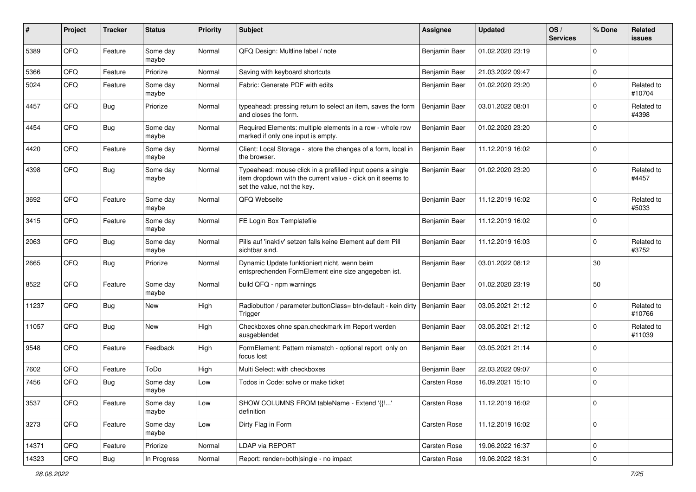| #     | Project | <b>Tracker</b> | <b>Status</b>     | <b>Priority</b> | <b>Subject</b>                                                                                                                                           | Assignee      | <b>Updated</b>   | OS/<br><b>Services</b> | % Done         | Related<br><b>issues</b> |
|-------|---------|----------------|-------------------|-----------------|----------------------------------------------------------------------------------------------------------------------------------------------------------|---------------|------------------|------------------------|----------------|--------------------------|
| 5389  | QFQ     | Feature        | Some day<br>maybe | Normal          | QFQ Design: Multline label / note                                                                                                                        | Benjamin Baer | 01.02.2020 23:19 |                        | $\Omega$       |                          |
| 5366  | QFQ     | Feature        | Priorize          | Normal          | Saving with keyboard shortcuts                                                                                                                           | Benjamin Baer | 21.03.2022 09:47 |                        | 0              |                          |
| 5024  | QFQ     | Feature        | Some day<br>maybe | Normal          | Fabric: Generate PDF with edits                                                                                                                          | Benjamin Baer | 01.02.2020 23:20 |                        | $\mathbf 0$    | Related to<br>#10704     |
| 4457  | QFQ     | Bug            | Priorize          | Normal          | typeahead: pressing return to select an item, saves the form<br>and closes the form.                                                                     | Benjamin Baer | 03.01.2022 08:01 |                        | $\Omega$       | Related to<br>#4398      |
| 4454  | QFQ     | Bug            | Some day<br>maybe | Normal          | Required Elements: multiple elements in a row - whole row<br>marked if only one input is empty.                                                          | Benjamin Baer | 01.02.2020 23:20 |                        | $\Omega$       |                          |
| 4420  | QFQ     | Feature        | Some day<br>maybe | Normal          | Client: Local Storage - store the changes of a form, local in<br>the browser.                                                                            | Benjamin Baer | 11.12.2019 16:02 |                        | $\mathbf 0$    |                          |
| 4398  | QFQ     | Bug            | Some day<br>maybe | Normal          | Typeahead: mouse click in a prefilled input opens a single<br>item dropdown with the current value - click on it seems to<br>set the value, not the key. | Benjamin Baer | 01.02.2020 23:20 |                        | $\mathbf 0$    | Related to<br>#4457      |
| 3692  | QFQ     | Feature        | Some day<br>maybe | Normal          | QFQ Webseite                                                                                                                                             | Benjamin Baer | 11.12.2019 16:02 |                        | $\mathbf 0$    | Related to<br>#5033      |
| 3415  | QFQ     | Feature        | Some day<br>maybe | Normal          | FE Login Box Templatefile                                                                                                                                | Benjamin Baer | 11.12.2019 16:02 |                        | 0              |                          |
| 2063  | QFQ     | Bug            | Some day<br>maybe | Normal          | Pills auf 'inaktiv' setzen falls keine Element auf dem Pill<br>sichtbar sind.                                                                            | Benjamin Baer | 11.12.2019 16:03 |                        | $\Omega$       | Related to<br>#3752      |
| 2665  | QFQ     | Bug            | Priorize          | Normal          | Dynamic Update funktioniert nicht, wenn beim<br>entsprechenden FormElement eine size angegeben ist.                                                      | Benjamin Baer | 03.01.2022 08:12 |                        | 30             |                          |
| 8522  | QFQ     | Feature        | Some day<br>maybe | Normal          | build QFQ - npm warnings                                                                                                                                 | Benjamin Baer | 01.02.2020 23:19 |                        | 50             |                          |
| 11237 | QFQ     | Bug            | <b>New</b>        | High            | Radiobutton / parameter.buttonClass= btn-default - kein dirty<br>Trigger                                                                                 | Benjamin Baer | 03.05.2021 21:12 |                        | $\Omega$       | Related to<br>#10766     |
| 11057 | QFQ     | Bug            | New               | High            | Checkboxes ohne span.checkmark im Report werden<br>ausgeblendet                                                                                          | Benjamin Baer | 03.05.2021 21:12 |                        | $\Omega$       | Related to<br>#11039     |
| 9548  | QFQ     | Feature        | Feedback          | High            | FormElement: Pattern mismatch - optional report only on<br>focus lost                                                                                    | Benjamin Baer | 03.05.2021 21:14 |                        | $\mathbf 0$    |                          |
| 7602  | QFQ     | Feature        | ToDo              | High            | Multi Select: with checkboxes                                                                                                                            | Benjamin Baer | 22.03.2022 09:07 |                        | $\overline{0}$ |                          |
| 7456  | QFQ     | Bug            | Some day<br>maybe | Low             | Todos in Code: solve or make ticket                                                                                                                      | Carsten Rose  | 16.09.2021 15:10 |                        | 0              |                          |
| 3537  | QFQ     | Feature        | Some day<br>maybe | Low             | SHOW COLUMNS FROM tableName - Extend '{{!'<br>definition                                                                                                 | Carsten Rose  | 11.12.2019 16:02 |                        | 0              |                          |
| 3273  | QFQ     | Feature        | Some day<br>maybe | Low             | Dirty Flag in Form                                                                                                                                       | Carsten Rose  | 11.12.2019 16:02 |                        | 0              |                          |
| 14371 | QFQ     | Feature        | Priorize          | Normal          | LDAP via REPORT                                                                                                                                          | Carsten Rose  | 19.06.2022 16:37 |                        | 0              |                          |
| 14323 | QFG     | Bug            | In Progress       | Normal          | Report: render=both single - no impact                                                                                                                   | Carsten Rose  | 19.06.2022 18:31 |                        | 0              |                          |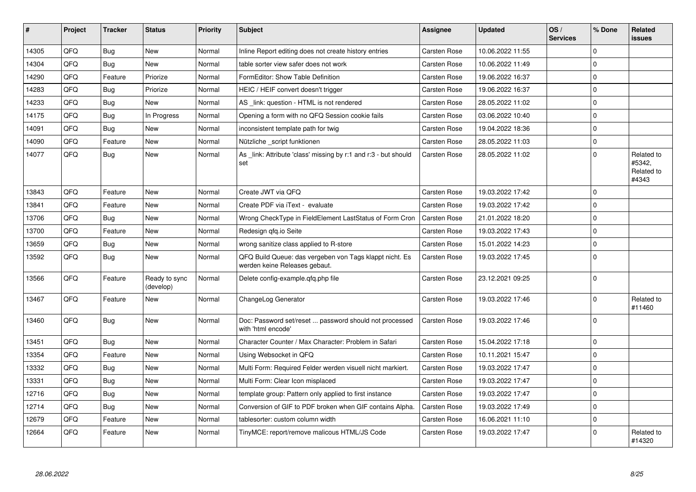| $\vert$ # | Project | <b>Tracker</b> | <b>Status</b>              | <b>Priority</b> | <b>Subject</b>                                                                           | <b>Assignee</b>     | <b>Updated</b>   | OS/<br><b>Services</b> | % Done         | Related<br>issues                           |
|-----------|---------|----------------|----------------------------|-----------------|------------------------------------------------------------------------------------------|---------------------|------------------|------------------------|----------------|---------------------------------------------|
| 14305     | QFQ     | Bug            | <b>New</b>                 | Normal          | Inline Report editing does not create history entries                                    | Carsten Rose        | 10.06.2022 11:55 |                        | $\Omega$       |                                             |
| 14304     | QFQ     | <b>Bug</b>     | <b>New</b>                 | Normal          | table sorter view safer does not work                                                    | Carsten Rose        | 10.06.2022 11:49 |                        | $\Omega$       |                                             |
| 14290     | QFQ     | Feature        | Priorize                   | Normal          | FormEditor: Show Table Definition                                                        | <b>Carsten Rose</b> | 19.06.2022 16:37 |                        | $\mathbf 0$    |                                             |
| 14283     | QFQ     | <b>Bug</b>     | Priorize                   | Normal          | HEIC / HEIF convert doesn't trigger                                                      | Carsten Rose        | 19.06.2022 16:37 |                        | $\overline{0}$ |                                             |
| 14233     | QFQ     | <b>Bug</b>     | New                        | Normal          | AS link: question - HTML is not rendered                                                 | Carsten Rose        | 28.05.2022 11:02 |                        | $\mathbf 0$    |                                             |
| 14175     | QFQ     | Bug            | In Progress                | Normal          | Opening a form with no QFQ Session cookie fails                                          | Carsten Rose        | 03.06.2022 10:40 |                        | $\mathbf 0$    |                                             |
| 14091     | QFQ     | <b>Bug</b>     | New                        | Normal          | inconsistent template path for twig                                                      | Carsten Rose        | 19.04.2022 18:36 |                        | $\mathbf 0$    |                                             |
| 14090     | QFQ     | Feature        | <b>New</b>                 | Normal          | Nützliche script funktionen                                                              | Carsten Rose        | 28.05.2022 11:03 |                        | 0              |                                             |
| 14077     | QFQ     | Bug            | New                        | Normal          | As _link: Attribute 'class' missing by r:1 and r:3 - but should<br>set                   | Carsten Rose        | 28.05.2022 11:02 |                        | $\Omega$       | Related to<br>#5342,<br>Related to<br>#4343 |
| 13843     | QFQ     | Feature        | <b>New</b>                 | Normal          | Create JWT via QFQ                                                                       | <b>Carsten Rose</b> | 19.03.2022 17:42 |                        | $\overline{0}$ |                                             |
| 13841     | QFQ     | Feature        | <b>New</b>                 | Normal          | Create PDF via iText - evaluate                                                          | Carsten Rose        | 19.03.2022 17:42 |                        | 0              |                                             |
| 13706     | QFQ     | <b>Bug</b>     | <b>New</b>                 | Normal          | Wrong CheckType in FieldElement LastStatus of Form Cron                                  | Carsten Rose        | 21.01.2022 18:20 |                        | $\Omega$       |                                             |
| 13700     | QFQ     | Feature        | <b>New</b>                 | Normal          | Redesign gfg.io Seite                                                                    | Carsten Rose        | 19.03.2022 17:43 |                        | $\mathbf 0$    |                                             |
| 13659     | QFQ     | <b>Bug</b>     | <b>New</b>                 | Normal          | wrong sanitize class applied to R-store                                                  | <b>Carsten Rose</b> | 15.01.2022 14:23 |                        | 0              |                                             |
| 13592     | QFQ     | <b>Bug</b>     | New                        | Normal          | QFQ Build Queue: das vergeben von Tags klappt nicht. Es<br>werden keine Releases gebaut. | <b>Carsten Rose</b> | 19.03.2022 17:45 |                        | 0              |                                             |
| 13566     | QFQ     | Feature        | Ready to sync<br>(develop) | Normal          | Delete config-example.gfg.php file                                                       | <b>Carsten Rose</b> | 23.12.2021 09:25 |                        | 0 l            |                                             |
| 13467     | QFQ     | Feature        | New                        | Normal          | ChangeLog Generator                                                                      | Carsten Rose        | 19.03.2022 17:46 |                        | $\mathbf 0$    | Related to<br>#11460                        |
| 13460     | QFQ     | <b>Bug</b>     | <b>New</b>                 | Normal          | Doc: Password set/reset  password should not processed<br>with 'html encode'             | <b>Carsten Rose</b> | 19.03.2022 17:46 |                        | $\overline{0}$ |                                             |
| 13451     | QFQ     | <b>Bug</b>     | <b>New</b>                 | Normal          | Character Counter / Max Character: Problem in Safari                                     | <b>Carsten Rose</b> | 15.04.2022 17:18 |                        | $\Omega$       |                                             |
| 13354     | QFQ     | Feature        | <b>New</b>                 | Normal          | Using Websocket in QFQ                                                                   | Carsten Rose        | 10.11.2021 15:47 |                        | 0              |                                             |
| 13332     | QFQ     | Bug            | <b>New</b>                 | Normal          | Multi Form: Required Felder werden visuell nicht markiert.                               | Carsten Rose        | 19.03.2022 17:47 |                        | $\Omega$       |                                             |
| 13331     | QFQ     | Bug            | <b>New</b>                 | Normal          | Multi Form: Clear Icon misplaced                                                         | Carsten Rose        | 19.03.2022 17:47 |                        | 0 l            |                                             |
| 12716     | QFQ     | <b>Bug</b>     | <b>New</b>                 | Normal          | template group: Pattern only applied to first instance                                   | Carsten Rose        | 19.03.2022 17:47 |                        | $\Omega$       |                                             |
| 12714     | QFQ     | Bug            | New                        | Normal          | Conversion of GIF to PDF broken when GIF contains Alpha.                                 | Carsten Rose        | 19.03.2022 17:49 |                        | $\mathbf 0$    |                                             |
| 12679     | QFQ     | Feature        | <b>New</b>                 | Normal          | tablesorter: custom column width                                                         | Carsten Rose        | 16.06.2021 11:10 |                        | 0 l            |                                             |
| 12664     | QFQ     | Feature        | <b>New</b>                 | Normal          | TinyMCE: report/remove malicous HTML/JS Code                                             | Carsten Rose        | 19.03.2022 17:47 |                        | 0              | Related to<br>#14320                        |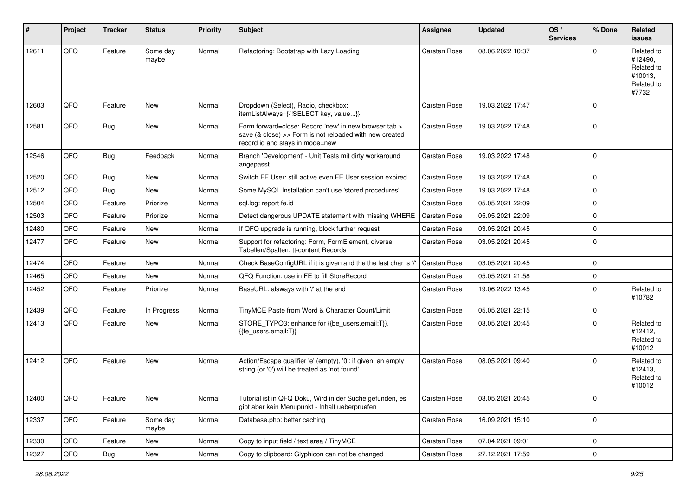| $\sharp$ | Project | <b>Tracker</b> | <b>Status</b>     | <b>Priority</b> | <b>Subject</b>                                                                                                                                      | <b>Assignee</b>     | <b>Updated</b>   | OS/<br><b>Services</b> | % Done         | Related<br><b>issues</b>                                              |
|----------|---------|----------------|-------------------|-----------------|-----------------------------------------------------------------------------------------------------------------------------------------------------|---------------------|------------------|------------------------|----------------|-----------------------------------------------------------------------|
| 12611    | QFQ     | Feature        | Some day<br>maybe | Normal          | Refactoring: Bootstrap with Lazy Loading                                                                                                            | <b>Carsten Rose</b> | 08.06.2022 10:37 |                        | $\Omega$       | Related to<br>#12490,<br>Related to<br>#10013,<br>Related to<br>#7732 |
| 12603    | QFQ     | Feature        | <b>New</b>        | Normal          | Dropdown (Select), Radio, checkbox:<br>itemListAlways={{!SELECT key, value}}                                                                        | <b>Carsten Rose</b> | 19.03.2022 17:47 |                        | $\Omega$       |                                                                       |
| 12581    | QFQ     | Bug            | <b>New</b>        | Normal          | Form.forward=close: Record 'new' in new browser tab ><br>save (& close) >> Form is not reloaded with new created<br>record id and stays in mode=new | <b>Carsten Rose</b> | 19.03.2022 17:48 |                        | 0              |                                                                       |
| 12546    | QFQ     | Bug            | Feedback          | Normal          | Branch 'Development' - Unit Tests mit dirty workaround<br>angepasst                                                                                 | Carsten Rose        | 19.03.2022 17:48 |                        | 0              |                                                                       |
| 12520    | QFQ     | Bug            | <b>New</b>        | Normal          | Switch FE User: still active even FE User session expired                                                                                           | <b>Carsten Rose</b> | 19.03.2022 17:48 |                        | $\Omega$       |                                                                       |
| 12512    | QFQ     | <b>Bug</b>     | New               | Normal          | Some MySQL Installation can't use 'stored procedures'                                                                                               | <b>Carsten Rose</b> | 19.03.2022 17:48 |                        | $\mathbf 0$    |                                                                       |
| 12504    | QFQ     | Feature        | Priorize          | Normal          | sql.log: report fe.id                                                                                                                               | Carsten Rose        | 05.05.2021 22:09 |                        | $\mathbf 0$    |                                                                       |
| 12503    | QFQ     | Feature        | Priorize          | Normal          | Detect dangerous UPDATE statement with missing WHERE                                                                                                | Carsten Rose        | 05.05.2021 22:09 |                        | $\mathbf 0$    |                                                                       |
| 12480    | QFQ     | Feature        | New               | Normal          | If QFQ upgrade is running, block further request                                                                                                    | <b>Carsten Rose</b> | 03.05.2021 20:45 |                        | $\mathbf 0$    |                                                                       |
| 12477    | QFQ     | Feature        | New               | Normal          | Support for refactoring: Form, FormElement, diverse<br>Tabellen/Spalten, tt-content Records                                                         | Carsten Rose        | 03.05.2021 20:45 |                        | $\Omega$       |                                                                       |
| 12474    | QFQ     | Feature        | New               | Normal          | Check BaseConfigURL if it is given and the the last char is '/'                                                                                     | <b>Carsten Rose</b> | 03.05.2021 20:45 |                        | $\mathbf 0$    |                                                                       |
| 12465    | QFQ     | Feature        | New               | Normal          | QFQ Function: use in FE to fill StoreRecord                                                                                                         | <b>Carsten Rose</b> | 05.05.2021 21:58 |                        | $\mathbf 0$    |                                                                       |
| 12452    | QFQ     | Feature        | Priorize          | Normal          | BaseURL: alsways with '/' at the end                                                                                                                | Carsten Rose        | 19.06.2022 13:45 |                        | $\overline{0}$ | Related to<br>#10782                                                  |
| 12439    | QFQ     | Feature        | In Progress       | Normal          | TinyMCE Paste from Word & Character Count/Limit                                                                                                     | Carsten Rose        | 05.05.2021 22:15 |                        | 0              |                                                                       |
| 12413    | QFQ     | Feature        | New               | Normal          | STORE_TYPO3: enhance for {{be_users.email:T}},<br>{{fe users.email:T}}                                                                              | Carsten Rose        | 03.05.2021 20:45 |                        | $\Omega$       | Related to<br>#12412,<br>Related to<br>#10012                         |
| 12412    | QFQ     | Feature        | New               | Normal          | Action/Escape qualifier 'e' (empty), '0': if given, an empty<br>string (or '0') will be treated as 'not found'                                      | <b>Carsten Rose</b> | 08.05.2021 09:40 |                        | $\Omega$       | Related to<br>#12413,<br>Related to<br>#10012                         |
| 12400    | QFQ     | Feature        | New               | Normal          | Tutorial ist in QFQ Doku, Wird in der Suche gefunden, es<br>gibt aber kein Menupunkt - Inhalt ueberpruefen                                          | <b>Carsten Rose</b> | 03.05.2021 20:45 |                        | 0              |                                                                       |
| 12337    | QFQ     | Feature        | Some day<br>maybe | Normal          | Database.php: better caching                                                                                                                        | Carsten Rose        | 16.09.2021 15:10 |                        | $\mathbf 0$    |                                                                       |
| 12330    | QFQ     | Feature        | New               | Normal          | Copy to input field / text area / TinyMCE                                                                                                           | <b>Carsten Rose</b> | 07.04.2021 09:01 |                        | 0              |                                                                       |
| 12327    | QFQ     | <b>Bug</b>     | New               | Normal          | Copy to clipboard: Glyphicon can not be changed                                                                                                     | Carsten Rose        | 27.12.2021 17:59 |                        | 0              |                                                                       |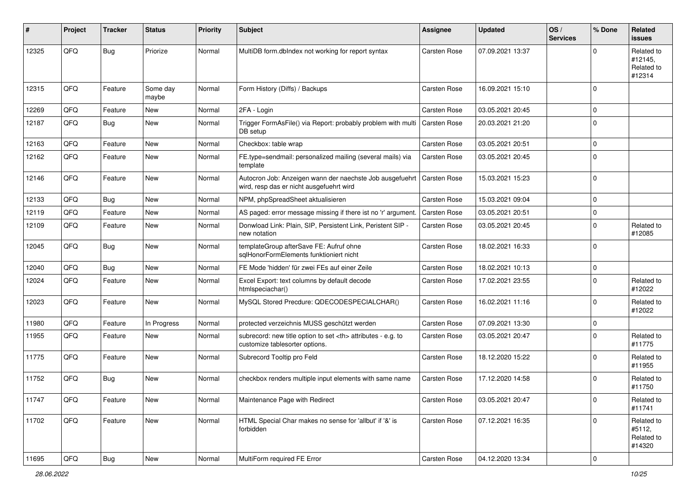| #     | Project | <b>Tracker</b> | <b>Status</b>     | <b>Priority</b> | <b>Subject</b>                                                                                       | <b>Assignee</b>                                        | <b>Updated</b>      | OS/<br><b>Services</b> | % Done      | Related<br><b>issues</b>                      |                      |
|-------|---------|----------------|-------------------|-----------------|------------------------------------------------------------------------------------------------------|--------------------------------------------------------|---------------------|------------------------|-------------|-----------------------------------------------|----------------------|
| 12325 | QFQ     | Bug            | Priorize          | Normal          | MultiDB form.dblndex not working for report syntax                                                   | <b>Carsten Rose</b>                                    | 07.09.2021 13:37    |                        | $\Omega$    | Related to<br>#12145,<br>Related to<br>#12314 |                      |
| 12315 | QFQ     | Feature        | Some day<br>maybe | Normal          | Form History (Diffs) / Backups                                                                       | <b>Carsten Rose</b>                                    | 16.09.2021 15:10    |                        | $\Omega$    |                                               |                      |
| 12269 | QFQ     | Feature        | <b>New</b>        | Normal          | 2FA - Login                                                                                          | <b>Carsten Rose</b>                                    | 03.05.2021 20:45    |                        | $\mathbf 0$ |                                               |                      |
| 12187 | QFQ     | Bug            | New               | Normal          | Trigger FormAsFile() via Report: probably problem with multi<br>DB setup                             | <b>Carsten Rose</b>                                    | 20.03.2021 21:20    |                        | $\Omega$    |                                               |                      |
| 12163 | QFQ     | Feature        | New               | Normal          | Checkbox: table wrap                                                                                 | <b>Carsten Rose</b>                                    | 03.05.2021 20:51    |                        | $\mathbf 0$ |                                               |                      |
| 12162 | QFQ     | Feature        | New               | Normal          | FE.type=sendmail: personalized mailing (several mails) via<br>template                               | <b>Carsten Rose</b>                                    | 03.05.2021 20:45    |                        | $\Omega$    |                                               |                      |
| 12146 | QFQ     | Feature        | New               | Normal          | Autocron Job: Anzeigen wann der naechste Job ausgefuehrt<br>wird, resp das er nicht ausgefuehrt wird | <b>Carsten Rose</b>                                    | 15.03.2021 15:23    |                        | 0           |                                               |                      |
| 12133 | QFQ     | Bug            | <b>New</b>        | Normal          | NPM, phpSpreadSheet aktualisieren                                                                    | <b>Carsten Rose</b>                                    | 15.03.2021 09:04    |                        | $\mathbf 0$ |                                               |                      |
| 12119 | QFQ     | Feature        | New               | Normal          | AS paged: error message missing if there ist no 'r' argument.                                        | <b>Carsten Rose</b>                                    | 03.05.2021 20:51    |                        | $\mathbf 0$ |                                               |                      |
| 12109 | QFQ     | Feature        | <b>New</b>        | Normal          | Donwload Link: Plain, SIP, Persistent Link, Peristent SIP -<br>new notation                          | <b>Carsten Rose</b>                                    | 03.05.2021 20:45    |                        | $\Omega$    | Related to<br>#12085                          |                      |
| 12045 | QFQ     | Bug            | <b>New</b>        | Normal          | templateGroup afterSave FE: Aufruf ohne<br>salHonorFormElements funktioniert nicht                   | <b>Carsten Rose</b>                                    | 18.02.2021 16:33    |                        | $\Omega$    |                                               |                      |
| 12040 | QFQ     | Bug            | New               | Normal          | FE Mode 'hidden' für zwei FEs auf einer Zeile                                                        | <b>Carsten Rose</b>                                    | 18.02.2021 10:13    |                        | $\mathbf 0$ |                                               |                      |
| 12024 | QFQ     | Feature        | New               | Normal          | Excel Export: text columns by default decode<br>htmlspeciachar()                                     | <b>Carsten Rose</b>                                    | 17.02.2021 23:55    |                        | $\mathbf 0$ | Related to<br>#12022                          |                      |
| 12023 | QFQ     | Feature        | <b>New</b>        | Normal          | MySQL Stored Precdure: QDECODESPECIALCHAR()                                                          | Carsten Rose                                           | 16.02.2021 11:16    |                        | $\Omega$    | Related to<br>#12022                          |                      |
| 11980 | QFQ     | Feature        | In Progress       | Normal          | protected verzeichnis MUSS geschützt werden                                                          | <b>Carsten Rose</b>                                    | 07.09.2021 13:30    |                        | $\mathbf 0$ |                                               |                      |
| 11955 | QFQ     | Feature        | New               | Normal          | subrecord: new title option to set <th> attributes - e.g. to<br/>customize tablesorter options.</th> | attributes - e.g. to<br>customize tablesorter options. | <b>Carsten Rose</b> | 03.05.2021 20:47       |             | $\Omega$                                      | Related to<br>#11775 |
| 11775 | QFQ     | Feature        | New               | Normal          | Subrecord Tooltip pro Feld                                                                           | Carsten Rose                                           | 18.12.2020 15:22    |                        | $\mathbf 0$ | Related to<br>#11955                          |                      |
| 11752 | QFQ     | Bug            | <b>New</b>        | Normal          | checkbox renders multiple input elements with same name                                              | <b>Carsten Rose</b>                                    | 17.12.2020 14:58    |                        | l 0         | Related to<br>#11750                          |                      |
| 11747 | QFG     | Feature        | New               | Normal          | Maintenance Page with Redirect                                                                       | Carsten Rose                                           | 03.05.2021 20:47    |                        | 0           | Related to<br>#11741                          |                      |
| 11702 | QFQ     | Feature        | New               | Normal          | HTML Special Char makes no sense for 'allbut' if '&' is<br>forbidden                                 | Carsten Rose                                           | 07.12.2021 16:35    |                        | $\mathbf 0$ | Related to<br>#5112,<br>Related to<br>#14320  |                      |
| 11695 | QFG     | <b>Bug</b>     | New               | Normal          | MultiForm required FE Error                                                                          | Carsten Rose                                           | 04.12.2020 13:34    |                        | 0           |                                               |                      |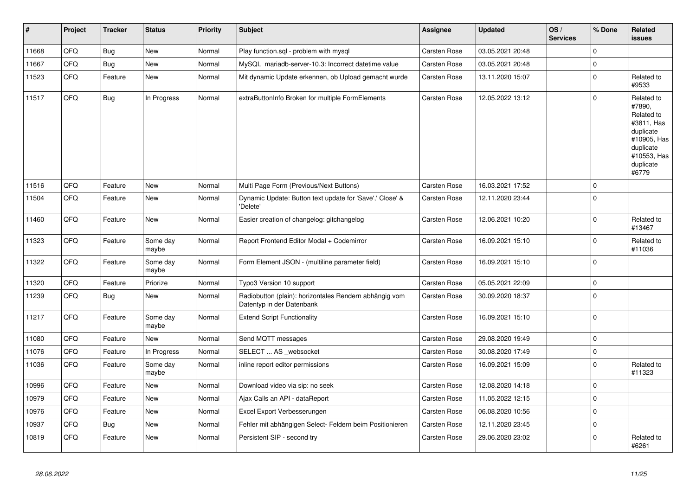| $\vert$ # | Project | <b>Tracker</b> | <b>Status</b>     | <b>Priority</b> | <b>Subject</b>                                                                      | Assignee            | <b>Updated</b>   | OS/<br><b>Services</b> | % Done      | Related<br>issues                                                                                                              |
|-----------|---------|----------------|-------------------|-----------------|-------------------------------------------------------------------------------------|---------------------|------------------|------------------------|-------------|--------------------------------------------------------------------------------------------------------------------------------|
| 11668     | QFQ     | Bug            | <b>New</b>        | Normal          | Play function.sql - problem with mysql                                              | Carsten Rose        | 03.05.2021 20:48 |                        | $\Omega$    |                                                                                                                                |
| 11667     | QFQ     | <b>Bug</b>     | <b>New</b>        | Normal          | MySQL mariadb-server-10.3: Incorrect datetime value                                 | Carsten Rose        | 03.05.2021 20:48 |                        | $\mathbf 0$ |                                                                                                                                |
| 11523     | QFQ     | Feature        | <b>New</b>        | Normal          | Mit dynamic Update erkennen, ob Upload gemacht wurde                                | Carsten Rose        | 13.11.2020 15:07 |                        | $\mathbf 0$ | Related to<br>#9533                                                                                                            |
| 11517     | QFQ     | <b>Bug</b>     | In Progress       | Normal          | extraButtonInfo Broken for multiple FormElements                                    | Carsten Rose        | 12.05.2022 13:12 |                        | $\mathbf 0$ | Related to<br>#7890,<br>Related to<br>#3811, Has<br>duplicate<br>#10905, Has<br>duplicate<br>#10553, Has<br>duplicate<br>#6779 |
| 11516     | QFQ     | Feature        | <b>New</b>        | Normal          | Multi Page Form (Previous/Next Buttons)                                             | Carsten Rose        | 16.03.2021 17:52 |                        | $\mathbf 0$ |                                                                                                                                |
| 11504     | QFQ     | Feature        | <b>New</b>        | Normal          | Dynamic Update: Button text update for 'Save',' Close' &<br>'Delete'                | Carsten Rose        | 12.11.2020 23:44 |                        | $\Omega$    |                                                                                                                                |
| 11460     | QFQ     | Feature        | New               | Normal          | Easier creation of changelog: gitchangelog                                          | Carsten Rose        | 12.06.2021 10:20 |                        | $\mathbf 0$ | Related to<br>#13467                                                                                                           |
| 11323     | QFQ     | Feature        | Some day<br>maybe | Normal          | Report Frontend Editor Modal + Codemirror                                           | Carsten Rose        | 16.09.2021 15:10 |                        | $\mathbf 0$ | Related to<br>#11036                                                                                                           |
| 11322     | QFQ     | Feature        | Some day<br>maybe | Normal          | Form Element JSON - (multiline parameter field)                                     | Carsten Rose        | 16.09.2021 15:10 |                        | $\mathbf 0$ |                                                                                                                                |
| 11320     | QFQ     | Feature        | Priorize          | Normal          | Typo3 Version 10 support                                                            | Carsten Rose        | 05.05.2021 22:09 |                        | $\mathbf 0$ |                                                                                                                                |
| 11239     | QFQ     | Bug            | New               | Normal          | Radiobutton (plain): horizontales Rendern abhängig vom<br>Datentyp in der Datenbank | Carsten Rose        | 30.09.2020 18:37 |                        | $\pmb{0}$   |                                                                                                                                |
| 11217     | QFQ     | Feature        | Some day<br>maybe | Normal          | <b>Extend Script Functionality</b>                                                  | <b>Carsten Rose</b> | 16.09.2021 15:10 |                        | $\mathbf 0$ |                                                                                                                                |
| 11080     | QFQ     | Feature        | <b>New</b>        | Normal          | Send MQTT messages                                                                  | Carsten Rose        | 29.08.2020 19:49 |                        | $\Omega$    |                                                                                                                                |
| 11076     | QFQ     | Feature        | In Progress       | Normal          | SELECT  AS _websocket                                                               | Carsten Rose        | 30.08.2020 17:49 |                        | $\mathbf 0$ |                                                                                                                                |
| 11036     | QFQ     | Feature        | Some day<br>maybe | Normal          | inline report editor permissions                                                    | Carsten Rose        | 16.09.2021 15:09 |                        | $\mathbf 0$ | Related to<br>#11323                                                                                                           |
| 10996     | QFQ     | Feature        | <b>New</b>        | Normal          | Download video via sip: no seek                                                     | Carsten Rose        | 12.08.2020 14:18 |                        | $\mathbf 0$ |                                                                                                                                |
| 10979     | QFQ     | Feature        | <b>New</b>        | Normal          | Ajax Calls an API - dataReport                                                      | Carsten Rose        | 11.05.2022 12:15 |                        | $\Omega$    |                                                                                                                                |
| 10976     | QFQ     | Feature        | <b>New</b>        | Normal          | Excel Export Verbesserungen                                                         | <b>Carsten Rose</b> | 06.08.2020 10:56 |                        | $\mathbf 0$ |                                                                                                                                |
| 10937     | QFQ     | <b>Bug</b>     | <b>New</b>        | Normal          | Fehler mit abhängigen Select- Feldern beim Positionieren                            | Carsten Rose        | 12.11.2020 23:45 |                        | $\mathbf 0$ |                                                                                                                                |
| 10819     | QFQ     | Feature        | <b>New</b>        | Normal          | Persistent SIP - second try                                                         | Carsten Rose        | 29.06.2020 23:02 |                        | $\Omega$    | Related to<br>#6261                                                                                                            |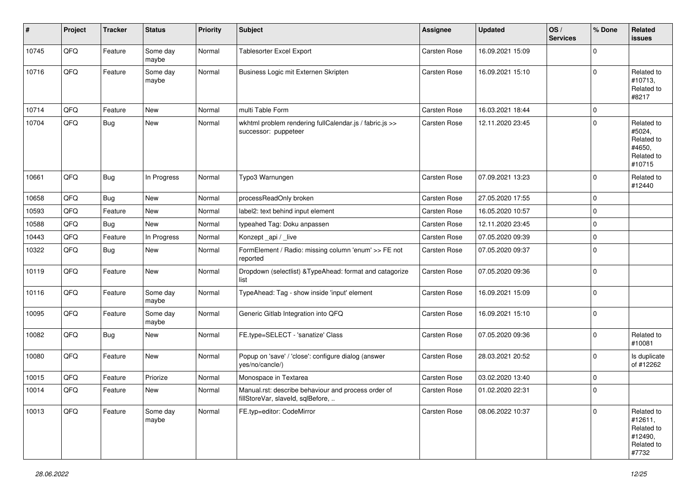| #     | Project | <b>Tracker</b> | <b>Status</b>     | <b>Priority</b> | <b>Subject</b>                                                                           | <b>Assignee</b> | <b>Updated</b>   | OS/<br><b>Services</b> | % Done      | Related<br><b>issues</b>                                              |
|-------|---------|----------------|-------------------|-----------------|------------------------------------------------------------------------------------------|-----------------|------------------|------------------------|-------------|-----------------------------------------------------------------------|
| 10745 | QFQ     | Feature        | Some day<br>maybe | Normal          | Tablesorter Excel Export                                                                 | Carsten Rose    | 16.09.2021 15:09 |                        | $\Omega$    |                                                                       |
| 10716 | QFQ     | Feature        | Some day<br>maybe | Normal          | Business Logic mit Externen Skripten                                                     | Carsten Rose    | 16.09.2021 15:10 |                        | $\mathbf 0$ | Related to<br>#10713,<br>Related to<br>#8217                          |
| 10714 | QFQ     | Feature        | <b>New</b>        | Normal          | multi Table Form                                                                         | Carsten Rose    | 16.03.2021 18:44 |                        | $\mathbf 0$ |                                                                       |
| 10704 | QFQ     | Bug            | New               | Normal          | wkhtml problem rendering fullCalendar.js / fabric.js >><br>successor: puppeteer          | Carsten Rose    | 12.11.2020 23:45 |                        | $\mathbf 0$ | Related to<br>#5024,<br>Related to<br>#4650,<br>Related to<br>#10715  |
| 10661 | QFQ     | Bug            | In Progress       | Normal          | Typo3 Warnungen                                                                          | Carsten Rose    | 07.09.2021 13:23 |                        | $\Omega$    | Related to<br>#12440                                                  |
| 10658 | QFQ     | Bug            | New               | Normal          | processReadOnly broken                                                                   | Carsten Rose    | 27.05.2020 17:55 |                        | $\mathbf 0$ |                                                                       |
| 10593 | QFQ     | Feature        | <b>New</b>        | Normal          | label2: text behind input element                                                        | Carsten Rose    | 16.05.2020 10:57 |                        | $\mathbf 0$ |                                                                       |
| 10588 | QFQ     | Bug            | New               | Normal          | typeahed Tag: Doku anpassen                                                              | Carsten Rose    | 12.11.2020 23:45 |                        | $\mathbf 0$ |                                                                       |
| 10443 | QFQ     | Feature        | In Progress       | Normal          | Konzept_api / _live                                                                      | Carsten Rose    | 07.05.2020 09:39 |                        | 0           |                                                                       |
| 10322 | QFQ     | Bug            | New               | Normal          | FormElement / Radio: missing column 'enum' >> FE not<br>reported                         | Carsten Rose    | 07.05.2020 09:37 |                        | 0           |                                                                       |
| 10119 | QFQ     | Feature        | New               | Normal          | Dropdown (selectlist) & TypeAhead: format and catagorize<br>list                         | Carsten Rose    | 07.05.2020 09:36 |                        | $\mathbf 0$ |                                                                       |
| 10116 | QFQ     | Feature        | Some day<br>maybe | Normal          | TypeAhead: Tag - show inside 'input' element                                             | Carsten Rose    | 16.09.2021 15:09 |                        | $\mathbf 0$ |                                                                       |
| 10095 | QFQ     | Feature        | Some day<br>maybe | Normal          | Generic Gitlab Integration into QFQ                                                      | Carsten Rose    | 16.09.2021 15:10 |                        | $\mathbf 0$ |                                                                       |
| 10082 | QFQ     | Bug            | New               | Normal          | FE.type=SELECT - 'sanatize' Class                                                        | Carsten Rose    | 07.05.2020 09:36 |                        | $\mathbf 0$ | Related to<br>#10081                                                  |
| 10080 | QFQ     | Feature        | New               | Normal          | Popup on 'save' / 'close': configure dialog (answer<br>yes/no/cancle/)                   | Carsten Rose    | 28.03.2021 20:52 |                        | 0           | Is duplicate<br>of #12262                                             |
| 10015 | QFQ     | Feature        | Priorize          | Normal          | Monospace in Textarea                                                                    | Carsten Rose    | 03.02.2020 13:40 |                        | $\mathbf 0$ |                                                                       |
| 10014 | QFQ     | Feature        | <b>New</b>        | Normal          | Manual.rst: describe behaviour and process order of<br>fillStoreVar, slaveId, sqlBefore, | Carsten Rose    | 01.02.2020 22:31 |                        | $\Omega$    |                                                                       |
| 10013 | QFQ     | Feature        | Some day<br>maybe | Normal          | FE.typ=editor: CodeMirror                                                                | Carsten Rose    | 08.06.2022 10:37 |                        | $\mathbf 0$ | Related to<br>#12611,<br>Related to<br>#12490,<br>Related to<br>#7732 |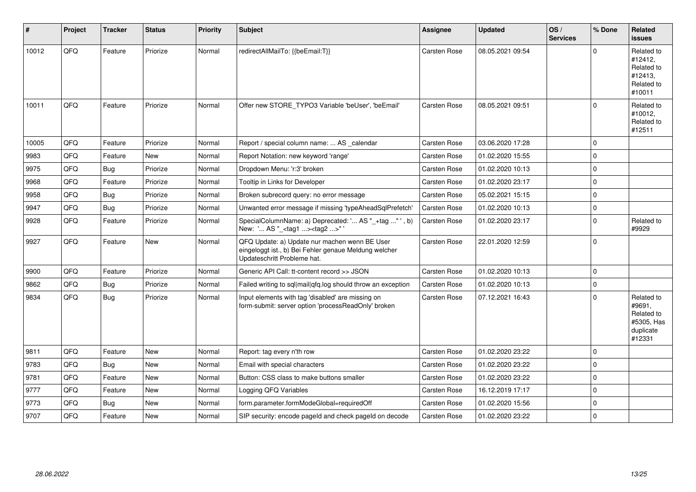| #     | Project | <b>Tracker</b> | <b>Status</b> | <b>Priority</b> | <b>Subject</b>                                                                                                                        | Assignee            | <b>Updated</b>   | OS/<br><b>Services</b> | % Done      | Related<br><b>issues</b>                                                |
|-------|---------|----------------|---------------|-----------------|---------------------------------------------------------------------------------------------------------------------------------------|---------------------|------------------|------------------------|-------------|-------------------------------------------------------------------------|
| 10012 | QFQ     | Feature        | Priorize      | Normal          | redirectAllMailTo: {{beEmail:T}}                                                                                                      | Carsten Rose        | 08.05.2021 09:54 |                        | U           | Related to<br>#12412,<br>Related to<br>#12413,<br>Related to<br>#10011  |
| 10011 | QFQ     | Feature        | Priorize      | Normal          | Offer new STORE_TYPO3 Variable 'beUser', 'beEmail'                                                                                    | Carsten Rose        | 08.05.2021 09:51 |                        | $\Omega$    | Related to<br>#10012,<br>Related to<br>#12511                           |
| 10005 | QFQ     | Feature        | Priorize      | Normal          | Report / special column name:  AS _calendar                                                                                           | Carsten Rose        | 03.06.2020 17:28 |                        | $\Omega$    |                                                                         |
| 9983  | QFQ     | Feature        | <b>New</b>    | Normal          | Report Notation: new keyword 'range'                                                                                                  | Carsten Rose        | 01.02.2020 15:55 |                        | $\Omega$    |                                                                         |
| 9975  | QFQ     | Bug            | Priorize      | Normal          | Dropdown Menu: 'r:3' broken                                                                                                           | <b>Carsten Rose</b> | 01.02.2020 10:13 |                        | $\Omega$    |                                                                         |
| 9968  | QFQ     | Feature        | Priorize      | Normal          | Tooltip in Links for Developer                                                                                                        | Carsten Rose        | 01.02.2020 23:17 |                        | $\Omega$    |                                                                         |
| 9958  | QFQ     | <b>Bug</b>     | Priorize      | Normal          | Broken subrecord query: no error message                                                                                              | Carsten Rose        | 05.02.2021 15:15 |                        | $\Omega$    |                                                                         |
| 9947  | QFQ     | <b>Bug</b>     | Priorize      | Normal          | Unwanted error message if missing 'typeAheadSqlPrefetch'                                                                              | <b>Carsten Rose</b> | 01.02.2020 10:13 |                        | $\Omega$    |                                                                         |
| 9928  | QFQ     | Feature        | Priorize      | Normal          | SpecialColumnName: a) Deprecated: ' AS "_+tag " ', b)<br>New: ' AS "_ <tag1><tag2>"</tag2></tag1>                                     | Carsten Rose        | 01.02.2020 23:17 |                        | $\Omega$    | Related to<br>#9929                                                     |
| 9927  | QFQ     | Feature        | New           | Normal          | QFQ Update: a) Update nur machen wenn BE User<br>eingeloggt ist., b) Bei Fehler genaue Meldung welcher<br>Updateschritt Probleme hat. | Carsten Rose        | 22.01.2020 12:59 |                        | $\Omega$    |                                                                         |
| 9900  | QFQ     | Feature        | Priorize      | Normal          | Generic API Call: tt-content record >> JSON                                                                                           | Carsten Rose        | 01.02.2020 10:13 |                        | $\mathbf 0$ |                                                                         |
| 9862  | QFQ     | <b>Bug</b>     | Priorize      | Normal          | Failed writing to sql mail qfq.log should throw an exception                                                                          | <b>Carsten Rose</b> | 01.02.2020 10:13 |                        | $\Omega$    |                                                                         |
| 9834  | QFQ     | <b>Bug</b>     | Priorize      | Normal          | Input elements with tag 'disabled' are missing on<br>form-submit: server option 'processReadOnly' broken                              | Carsten Rose        | 07.12.2021 16:43 |                        | $\Omega$    | Related to<br>#9691,<br>Related to<br>#5305, Has<br>duplicate<br>#12331 |
| 9811  | QFQ     | Feature        | <b>New</b>    | Normal          | Report: tag every n'th row                                                                                                            | Carsten Rose        | 01.02.2020 23:22 |                        | $\Omega$    |                                                                         |
| 9783  | QFQ     | Bug            | <b>New</b>    | Normal          | Email with special characters                                                                                                         | Carsten Rose        | 01.02.2020 23:22 |                        | $\Omega$    |                                                                         |
| 9781  | QFQ     | Feature        | New           | Normal          | Button: CSS class to make buttons smaller                                                                                             | Carsten Rose        | 01.02.2020 23:22 |                        | $\Omega$    |                                                                         |
| 9777  | QFQ     | Feature        | <b>New</b>    | Normal          | Logging QFQ Variables                                                                                                                 | Carsten Rose        | 16.12.2019 17:17 |                        | $\Omega$    |                                                                         |
| 9773  | QFQ     | <b>Bug</b>     | <b>New</b>    | Normal          | form.parameter.formModeGlobal=requiredOff                                                                                             | Carsten Rose        | 01.02.2020 15:56 |                        | $\Omega$    |                                                                         |
| 9707  | QFQ     | Feature        | <b>New</b>    | Normal          | SIP security: encode pageld and check pageld on decode                                                                                | Carsten Rose        | 01.02.2020 23:22 |                        | $\Omega$    |                                                                         |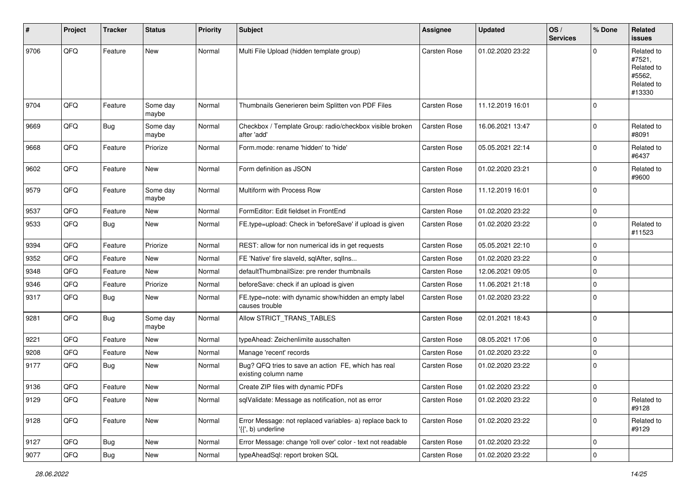| #    | Project        | <b>Tracker</b> | <b>Status</b>     | <b>Priority</b> | Subject                                                                         | <b>Assignee</b>     | <b>Updated</b>   | OS/<br><b>Services</b> | % Done      | Related<br><b>issues</b>                                             |
|------|----------------|----------------|-------------------|-----------------|---------------------------------------------------------------------------------|---------------------|------------------|------------------------|-------------|----------------------------------------------------------------------|
| 9706 | QFQ            | Feature        | <b>New</b>        | Normal          | Multi File Upload (hidden template group)                                       | <b>Carsten Rose</b> | 01.02.2020 23:22 |                        | $\Omega$    | Related to<br>#7521,<br>Related to<br>#5562,<br>Related to<br>#13330 |
| 9704 | QFQ            | Feature        | Some day<br>maybe | Normal          | Thumbnails Generieren beim Splitten von PDF Files                               | Carsten Rose        | 11.12.2019 16:01 |                        | $\mathbf 0$ |                                                                      |
| 9669 | QFQ            | <b>Bug</b>     | Some day<br>maybe | Normal          | Checkbox / Template Group: radio/checkbox visible broken<br>after 'add'         | Carsten Rose        | 16.06.2021 13:47 |                        | $\mathbf 0$ | Related to<br>#8091                                                  |
| 9668 | QFQ            | Feature        | Priorize          | Normal          | Form.mode: rename 'hidden' to 'hide'                                            | Carsten Rose        | 05.05.2021 22:14 |                        | $\Omega$    | Related to<br>#6437                                                  |
| 9602 | QFQ            | Feature        | New               | Normal          | Form definition as JSON                                                         | Carsten Rose        | 01.02.2020 23:21 |                        | $\mathbf 0$ | Related to<br>#9600                                                  |
| 9579 | QFQ            | Feature        | Some day<br>maybe | Normal          | Multiform with Process Row                                                      | Carsten Rose        | 11.12.2019 16:01 |                        | 0           |                                                                      |
| 9537 | QFQ            | Feature        | <b>New</b>        | Normal          | FormEditor: Edit fieldset in FrontEnd                                           | Carsten Rose        | 01.02.2020 23:22 |                        | $\mathbf 0$ |                                                                      |
| 9533 | QFQ            | Bug            | <b>New</b>        | Normal          | FE.type=upload: Check in 'beforeSave' if upload is given                        | Carsten Rose        | 01.02.2020 23:22 |                        | $\mathbf 0$ | Related to<br>#11523                                                 |
| 9394 | QFQ            | Feature        | Priorize          | Normal          | REST: allow for non numerical ids in get requests                               | Carsten Rose        | 05.05.2021 22:10 |                        | $\mathbf 0$ |                                                                      |
| 9352 | QFQ            | Feature        | New               | Normal          | FE 'Native' fire slaveld, sqlAfter, sqlIns                                      | Carsten Rose        | 01.02.2020 23:22 |                        | 0           |                                                                      |
| 9348 | QFQ            | Feature        | New               | Normal          | defaultThumbnailSize: pre render thumbnails                                     | Carsten Rose        | 12.06.2021 09:05 |                        | $\mathbf 0$ |                                                                      |
| 9346 | QFQ            | Feature        | Priorize          | Normal          | beforeSave: check if an upload is given                                         | Carsten Rose        | 11.06.2021 21:18 |                        | $\Omega$    |                                                                      |
| 9317 | QFQ            | Bug            | New               | Normal          | FE.type=note: with dynamic show/hidden an empty label<br>causes trouble         | Carsten Rose        | 01.02.2020 23:22 |                        | 0           |                                                                      |
| 9281 | QFQ            | Bug            | Some day<br>maybe | Normal          | Allow STRICT_TRANS_TABLES                                                       | Carsten Rose        | 02.01.2021 18:43 |                        | 0           |                                                                      |
| 9221 | QFQ            | Feature        | <b>New</b>        | Normal          | typeAhead: Zeichenlimite ausschalten                                            | Carsten Rose        | 08.05.2021 17:06 |                        | $\mathbf 0$ |                                                                      |
| 9208 | QFQ            | Feature        | New               | Normal          | Manage 'recent' records                                                         | Carsten Rose        | 01.02.2020 23:22 |                        | $\Omega$    |                                                                      |
| 9177 | QFQ            | Bug            | New               | Normal          | Bug? QFQ tries to save an action FE, which has real<br>existing column name     | Carsten Rose        | 01.02.2020 23:22 |                        | $\mathbf 0$ |                                                                      |
| 9136 | QFQ            | Feature        | New               | Normal          | Create ZIP files with dynamic PDFs                                              | Carsten Rose        | 01.02.2020 23:22 |                        | 0           |                                                                      |
| 9129 | QFG            | Feature        | New               | Normal          | sqlValidate: Message as notification, not as error                              | Carsten Rose        | 01.02.2020 23:22 |                        | 0           | Related to<br>#9128                                                  |
| 9128 | QFQ            | Feature        | New               | Normal          | Error Message: not replaced variables- a) replace back to<br>'{{', b) underline | Carsten Rose        | 01.02.2020 23:22 |                        | 0           | Related to<br>#9129                                                  |
| 9127 | QFQ            | Bug            | New               | Normal          | Error Message: change 'roll over' color - text not readable                     | Carsten Rose        | 01.02.2020 23:22 |                        | 0           |                                                                      |
| 9077 | $\mathsf{QFQ}$ | Bug            | New               | Normal          | typeAheadSql: report broken SQL                                                 | Carsten Rose        | 01.02.2020 23:22 |                        | $\mathbf 0$ |                                                                      |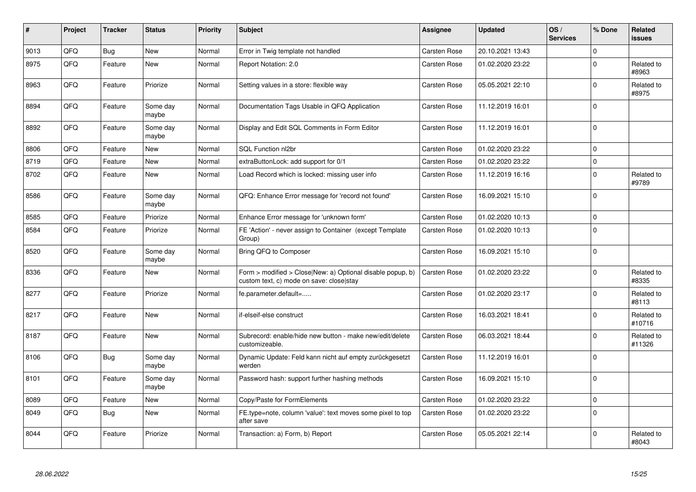| $\sharp$ | Project | <b>Tracker</b> | <b>Status</b>     | <b>Priority</b> | <b>Subject</b>                                                                                         | Assignee            | <b>Updated</b>   | OS/<br><b>Services</b> | % Done       | Related<br><b>issues</b> |
|----------|---------|----------------|-------------------|-----------------|--------------------------------------------------------------------------------------------------------|---------------------|------------------|------------------------|--------------|--------------------------|
| 9013     | QFQ     | <b>Bug</b>     | <b>New</b>        | Normal          | Error in Twig template not handled                                                                     | Carsten Rose        | 20.10.2021 13:43 |                        | $\Omega$     |                          |
| 8975     | QFQ     | Feature        | <b>New</b>        | Normal          | Report Notation: 2.0                                                                                   | Carsten Rose        | 01.02.2020 23:22 |                        | $\Omega$     | Related to<br>#8963      |
| 8963     | QFQ     | Feature        | Priorize          | Normal          | Setting values in a store: flexible way                                                                | Carsten Rose        | 05.05.2021 22:10 |                        | $\Omega$     | Related to<br>#8975      |
| 8894     | QFQ     | Feature        | Some day<br>maybe | Normal          | Documentation Tags Usable in QFQ Application                                                           | Carsten Rose        | 11.12.2019 16:01 |                        | $\Omega$     |                          |
| 8892     | QFQ     | Feature        | Some day<br>maybe | Normal          | Display and Edit SQL Comments in Form Editor                                                           | Carsten Rose        | 11.12.2019 16:01 |                        | $\mathbf 0$  |                          |
| 8806     | QFQ     | Feature        | <b>New</b>        | Normal          | <b>SQL Function nl2br</b>                                                                              | Carsten Rose        | 01.02.2020 23:22 |                        | $\Omega$     |                          |
| 8719     | QFQ     | Feature        | <b>New</b>        | Normal          | extraButtonLock: add support for 0/1                                                                   | Carsten Rose        | 01.02.2020 23:22 |                        | $\mathbf 0$  |                          |
| 8702     | QFQ     | Feature        | <b>New</b>        | Normal          | Load Record which is locked: missing user info                                                         | Carsten Rose        | 11.12.2019 16:16 |                        | $\Omega$     | Related to<br>#9789      |
| 8586     | QFQ     | Feature        | Some day<br>maybe | Normal          | QFQ: Enhance Error message for 'record not found'                                                      | Carsten Rose        | 16.09.2021 15:10 |                        | $\Omega$     |                          |
| 8585     | QFQ     | Feature        | Priorize          | Normal          | Enhance Error message for 'unknown form'                                                               | Carsten Rose        | 01.02.2020 10:13 |                        | $\Omega$     |                          |
| 8584     | QFQ     | Feature        | Priorize          | Normal          | FE 'Action' - never assign to Container (except Template<br>Group)                                     | Carsten Rose        | 01.02.2020 10:13 |                        | $\Omega$     |                          |
| 8520     | QFQ     | Feature        | Some day<br>maybe | Normal          | Bring QFQ to Composer                                                                                  | Carsten Rose        | 16.09.2021 15:10 |                        | $\Omega$     |                          |
| 8336     | QFQ     | Feature        | <b>New</b>        | Normal          | Form > modified > Close New: a) Optional disable popup, b)<br>custom text, c) mode on save: close stay | Carsten Rose        | 01.02.2020 23:22 |                        | $\mathbf{0}$ | Related to<br>#8335      |
| 8277     | QFQ     | Feature        | Priorize          | Normal          | fe.parameter.default=                                                                                  | Carsten Rose        | 01.02.2020 23:17 |                        | $\Omega$     | Related to<br>#8113      |
| 8217     | QFQ     | Feature        | <b>New</b>        | Normal          | if-elseif-else construct                                                                               | Carsten Rose        | 16.03.2021 18:41 |                        | $\Omega$     | Related to<br>#10716     |
| 8187     | QFQ     | Feature        | <b>New</b>        | Normal          | Subrecord: enable/hide new button - make new/edit/delete<br>customizeable.                             | <b>Carsten Rose</b> | 06.03.2021 18:44 |                        | $\Omega$     | Related to<br>#11326     |
| 8106     | QFQ     | Bug            | Some day<br>maybe | Normal          | Dynamic Update: Feld kann nicht auf empty zurückgesetzt<br>werden                                      | Carsten Rose        | 11.12.2019 16:01 |                        | $\Omega$     |                          |
| 8101     | QFQ     | Feature        | Some day<br>maybe | Normal          | Password hash: support further hashing methods                                                         | Carsten Rose        | 16.09.2021 15:10 |                        | $\Omega$     |                          |
| 8089     | QFQ     | Feature        | New               | Normal          | Copy/Paste for FormElements                                                                            | Carsten Rose        | 01.02.2020 23:22 |                        | $\mathbf 0$  |                          |
| 8049     | QFQ     | Bug            | <b>New</b>        | Normal          | FE.type=note, column 'value': text moves some pixel to top<br>after save                               | Carsten Rose        | 01.02.2020 23:22 |                        | $\Omega$     |                          |
| 8044     | QFQ     | Feature        | Priorize          | Normal          | Transaction: a) Form, b) Report                                                                        | Carsten Rose        | 05.05.2021 22:14 |                        | $\Omega$     | Related to<br>#8043      |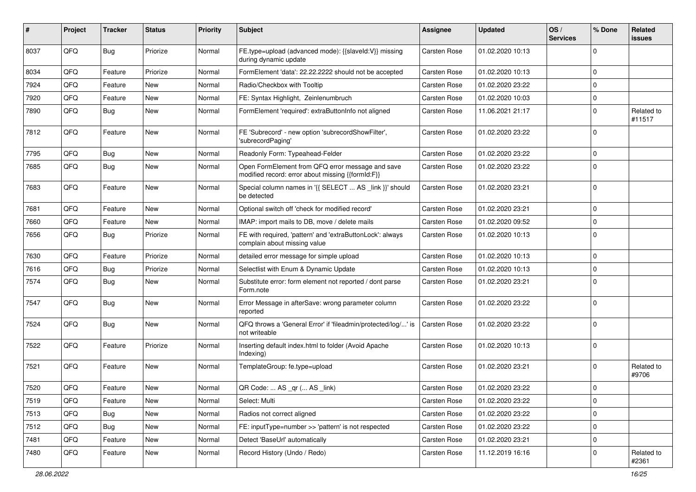| ∦    | Project | <b>Tracker</b> | <b>Status</b> | <b>Priority</b> | <b>Subject</b>                                                                                        | Assignee            | <b>Updated</b>   | OS/<br><b>Services</b> | % Done      | Related<br>issues    |
|------|---------|----------------|---------------|-----------------|-------------------------------------------------------------------------------------------------------|---------------------|------------------|------------------------|-------------|----------------------|
| 8037 | QFQ     | Bug            | Priorize      | Normal          | FE.type=upload (advanced mode): {{slaveId:V}} missing<br>during dynamic update                        | <b>Carsten Rose</b> | 01.02.2020 10:13 |                        | $\Omega$    |                      |
| 8034 | QFQ     | Feature        | Priorize      | Normal          | FormElement 'data': 22.22.2222 should not be accepted                                                 | <b>Carsten Rose</b> | 01.02.2020 10:13 |                        | 0           |                      |
| 7924 | QFQ     | Feature        | <b>New</b>    | Normal          | Radio/Checkbox with Tooltip                                                                           | Carsten Rose        | 01.02.2020 23:22 |                        | 0           |                      |
| 7920 | QFQ     | Feature        | New           | Normal          | FE: Syntax Highlight, Zeinlenumbruch                                                                  | Carsten Rose        | 01.02.2020 10:03 |                        | $\Omega$    |                      |
| 7890 | QFQ     | Bug            | New           | Normal          | FormElement 'required': extraButtonInfo not aligned                                                   | Carsten Rose        | 11.06.2021 21:17 |                        | $\Omega$    | Related to<br>#11517 |
| 7812 | QFQ     | Feature        | <b>New</b>    | Normal          | FE 'Subrecord' - new option 'subrecordShowFilter',<br>'subrecordPaging'                               | Carsten Rose        | 01.02.2020 23:22 |                        | $\Omega$    |                      |
| 7795 | QFQ     | Bug            | New           | Normal          | Readonly Form: Typeahead-Felder                                                                       | Carsten Rose        | 01.02.2020 23:22 |                        | $\mathbf 0$ |                      |
| 7685 | QFQ     | Bug            | New           | Normal          | Open FormElement from QFQ error message and save<br>modified record: error about missing {{formId:F}} | Carsten Rose        | 01.02.2020 23:22 |                        | $\Omega$    |                      |
| 7683 | QFQ     | Feature        | New           | Normal          | Special column names in '{{ SELECT  AS _link }}' should<br>be detected                                | Carsten Rose        | 01.02.2020 23:21 |                        | 0           |                      |
| 7681 | QFQ     | Feature        | <b>New</b>    | Normal          | Optional switch off 'check for modified record'                                                       | <b>Carsten Rose</b> | 01.02.2020 23:21 |                        | 0           |                      |
| 7660 | QFQ     | Feature        | New           | Normal          | IMAP: import mails to DB, move / delete mails                                                         | Carsten Rose        | 01.02.2020 09:52 |                        | $\Omega$    |                      |
| 7656 | QFQ     | <b>Bug</b>     | Priorize      | Normal          | FE with required, 'pattern' and 'extraButtonLock': always<br>complain about missing value             | Carsten Rose        | 01.02.2020 10:13 |                        | $\Omega$    |                      |
| 7630 | QFQ     | Feature        | Priorize      | Normal          | detailed error message for simple upload                                                              | Carsten Rose        | 01.02.2020 10:13 |                        | $\Omega$    |                      |
| 7616 | QFQ     | <b>Bug</b>     | Priorize      | Normal          | Selectlist with Enum & Dynamic Update                                                                 | Carsten Rose        | 01.02.2020 10:13 |                        | 0           |                      |
| 7574 | QFQ     | Bug            | New           | Normal          | Substitute error: form element not reported / dont parse<br>Form.note                                 | Carsten Rose        | 01.02.2020 23:21 |                        | $\Omega$    |                      |
| 7547 | QFQ     | Bug            | New           | Normal          | Error Message in afterSave: wrong parameter column<br>reported                                        | Carsten Rose        | 01.02.2020 23:22 |                        | $\Omega$    |                      |
| 7524 | QFQ     | Bug            | New           | Normal          | QFQ throws a 'General Error' if 'fileadmin/protected/log/' is<br>not writeable                        | Carsten Rose        | 01.02.2020 23:22 |                        | $\Omega$    |                      |
| 7522 | QFQ     | Feature        | Priorize      | Normal          | Inserting default index.html to folder (Avoid Apache<br>Indexing)                                     | Carsten Rose        | 01.02.2020 10:13 |                        | $\Omega$    |                      |
| 7521 | QFQ     | Feature        | <b>New</b>    | Normal          | TemplateGroup: fe.type=upload                                                                         | Carsten Rose        | 01.02.2020 23:21 |                        | 0           | Related to<br>#9706  |
| 7520 | QFQ     | Feature        | New           | Normal          | QR Code:  AS _qr ( AS _link)                                                                          | Carsten Rose        | 01.02.2020 23:22 |                        | $\Omega$    |                      |
| 7519 | QFQ     | Feature        | New           | Normal          | Select: Multi                                                                                         | Carsten Rose        | 01.02.2020 23:22 |                        | 0           |                      |
| 7513 | QFQ     | <b>Bug</b>     | New           | Normal          | Radios not correct aligned                                                                            | Carsten Rose        | 01.02.2020 23:22 |                        | $\mathbf 0$ |                      |
| 7512 | QFQ     | Bug            | New           | Normal          | FE: inputType=number >> 'pattern' is not respected                                                    | Carsten Rose        | 01.02.2020 23:22 |                        | 0           |                      |
| 7481 | QFQ     | Feature        | New           | Normal          | Detect 'BaseUrl' automatically                                                                        | Carsten Rose        | 01.02.2020 23:21 |                        | 0           |                      |
| 7480 | QFQ     | Feature        | New           | Normal          | Record History (Undo / Redo)                                                                          | <b>Carsten Rose</b> | 11.12.2019 16:16 |                        | 0           | Related to<br>#2361  |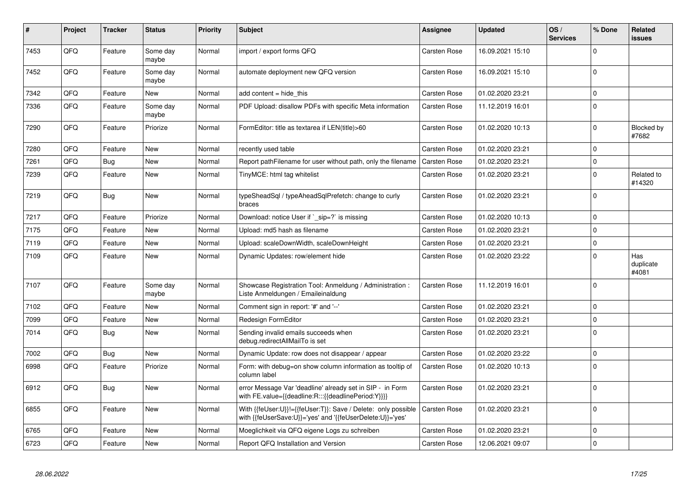| #    | Project | <b>Tracker</b> | <b>Status</b>     | <b>Priority</b> | <b>Subject</b>                                                                                                             | Assignee            | <b>Updated</b>   | OS/<br><b>Services</b> | % Done      | Related<br>issues         |
|------|---------|----------------|-------------------|-----------------|----------------------------------------------------------------------------------------------------------------------------|---------------------|------------------|------------------------|-------------|---------------------------|
| 7453 | QFQ     | Feature        | Some day<br>maybe | Normal          | import / export forms QFQ                                                                                                  | Carsten Rose        | 16.09.2021 15:10 |                        | $\Omega$    |                           |
| 7452 | QFQ     | Feature        | Some day<br>maybe | Normal          | automate deployment new QFQ version                                                                                        | Carsten Rose        | 16.09.2021 15:10 |                        | $\Omega$    |                           |
| 7342 | QFQ     | Feature        | New               | Normal          | add content = hide this                                                                                                    | Carsten Rose        | 01.02.2020 23:21 |                        | $\Omega$    |                           |
| 7336 | QFQ     | Feature        | Some day<br>maybe | Normal          | PDF Upload: disallow PDFs with specific Meta information                                                                   | Carsten Rose        | 11.12.2019 16:01 |                        | $\Omega$    |                           |
| 7290 | QFQ     | Feature        | Priorize          | Normal          | FormEditor: title as textarea if LEN(title)>60                                                                             | Carsten Rose        | 01.02.2020 10:13 |                        | $\mathbf 0$ | Blocked by<br>#7682       |
| 7280 | QFQ     | Feature        | New               | Normal          | recently used table                                                                                                        | Carsten Rose        | 01.02.2020 23:21 |                        | 0           |                           |
| 7261 | QFQ     | <b>Bug</b>     | <b>New</b>        | Normal          | Report pathFilename for user without path, only the filename                                                               | <b>Carsten Rose</b> | 01.02.2020 23:21 |                        | $\Omega$    |                           |
| 7239 | QFQ     | Feature        | New               | Normal          | TinyMCE: html tag whitelist                                                                                                | Carsten Rose        | 01.02.2020 23:21 |                        | 0           | Related to<br>#14320      |
| 7219 | QFQ     | <b>Bug</b>     | New               | Normal          | typeSheadSql / typeAheadSqlPrefetch: change to curly<br>braces                                                             | Carsten Rose        | 01.02.2020 23:21 |                        | $\Omega$    |                           |
| 7217 | QFQ     | Feature        | Priorize          | Normal          | Download: notice User if `_sip=?` is missing                                                                               | Carsten Rose        | 01.02.2020 10:13 |                        | $\Omega$    |                           |
| 7175 | QFQ     | Feature        | <b>New</b>        | Normal          | Upload: md5 hash as filename                                                                                               | Carsten Rose        | 01.02.2020 23:21 |                        | $\Omega$    |                           |
| 7119 | QFQ     | Feature        | <b>New</b>        | Normal          | Upload: scaleDownWidth, scaleDownHeight                                                                                    | Carsten Rose        | 01.02.2020 23:21 |                        | $\Omega$    |                           |
| 7109 | QFQ     | Feature        | New               | Normal          | Dynamic Updates: row/element hide                                                                                          | Carsten Rose        | 01.02.2020 23:22 |                        | $\Omega$    | Has<br>duplicate<br>#4081 |
| 7107 | QFQ     | Feature        | Some day<br>maybe | Normal          | Showcase Registration Tool: Anmeldung / Administration :<br>Liste Anmeldungen / Emaileinaldung                             | <b>Carsten Rose</b> | 11.12.2019 16:01 |                        | $\Omega$    |                           |
| 7102 | QFQ     | Feature        | New               | Normal          | Comment sign in report: '#' and '--'                                                                                       | Carsten Rose        | 01.02.2020 23:21 |                        | $\Omega$    |                           |
| 7099 | QFQ     | Feature        | New               | Normal          | Redesign FormEditor                                                                                                        | Carsten Rose        | 01.02.2020 23:21 |                        | 0           |                           |
| 7014 | QFQ     | Bug            | New               | Normal          | Sending invalid emails succeeds when<br>debug.redirectAllMailTo is set                                                     | Carsten Rose        | 01.02.2020 23:21 |                        | $\Omega$    |                           |
| 7002 | QFQ     | Bug            | New               | Normal          | Dynamic Update: row does not disappear / appear                                                                            | Carsten Rose        | 01.02.2020 23:22 |                        | $\Omega$    |                           |
| 6998 | QFQ     | Feature        | Priorize          | Normal          | Form: with debug=on show column information as tooltip of<br>column label                                                  | <b>Carsten Rose</b> | 01.02.2020 10:13 |                        | $\Omega$    |                           |
| 6912 | QFQ     | Bug            | New               | Normal          | error Message Var 'deadline' already set in SIP - in Form<br>with FE.value={{deadline:R:::{{deadlinePeriod:Y}}}}           | Carsten Rose        | 01.02.2020 23:21 |                        | $\Omega$    |                           |
| 6855 | QFQ     | Feature        | New               | Normal          | With {{feUser:U}}!={{feUser:T}}: Save / Delete: only possible<br>with {{feUserSave:U}}='yes' and '{{feUserDelete:U}}='yes' | Carsten Rose        | 01.02.2020 23:21 |                        | $\Omega$    |                           |
| 6765 | QFQ     | Feature        | <b>New</b>        | Normal          | Moeglichkeit via QFQ eigene Logs zu schreiben                                                                              | Carsten Rose        | 01.02.2020 23:21 |                        | $\Omega$    |                           |
| 6723 | QFQ     | Feature        | <b>New</b>        | Normal          | Report QFQ Installation and Version                                                                                        | <b>Carsten Rose</b> | 12.06.2021 09:07 |                        | $\Omega$    |                           |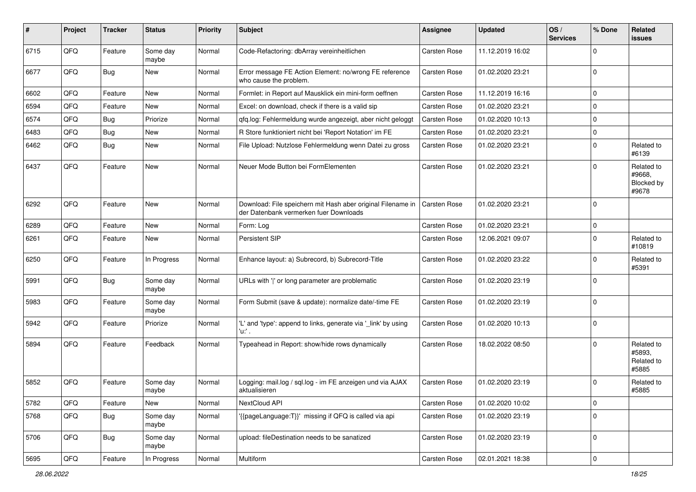| ∦    | Project | <b>Tracker</b> | <b>Status</b>     | <b>Priority</b> | <b>Subject</b>                                                                                        | Assignee     | <b>Updated</b>   | OS/<br><b>Services</b> | % Done      | Related<br>issues                           |
|------|---------|----------------|-------------------|-----------------|-------------------------------------------------------------------------------------------------------|--------------|------------------|------------------------|-------------|---------------------------------------------|
| 6715 | QFQ     | Feature        | Some day<br>maybe | Normal          | Code-Refactoring: dbArray vereinheitlichen                                                            | Carsten Rose | 11.12.2019 16:02 |                        | $\Omega$    |                                             |
| 6677 | QFQ     | Bug            | New               | Normal          | Error message FE Action Element: no/wrong FE reference<br>who cause the problem.                      | Carsten Rose | 01.02.2020 23:21 |                        | $\Omega$    |                                             |
| 6602 | QFQ     | Feature        | <b>New</b>        | Normal          | Formlet: in Report auf Mausklick ein mini-form oeffnen                                                | Carsten Rose | 11.12.2019 16:16 |                        | $\mathbf 0$ |                                             |
| 6594 | QFQ     | Feature        | New               | Normal          | Excel: on download, check if there is a valid sip                                                     | Carsten Rose | 01.02.2020 23:21 |                        | $\mathbf 0$ |                                             |
| 6574 | QFQ     | <b>Bug</b>     | Priorize          | Normal          | qfq.log: Fehlermeldung wurde angezeigt, aber nicht geloggt                                            | Carsten Rose | 01.02.2020 10:13 |                        | $\mathbf 0$ |                                             |
| 6483 | QFQ     | Bug            | New               | Normal          | R Store funktioniert nicht bei 'Report Notation' im FE                                                | Carsten Rose | 01.02.2020 23:21 |                        | $\Omega$    |                                             |
| 6462 | QFQ     | <b>Bug</b>     | New               | Normal          | File Upload: Nutzlose Fehlermeldung wenn Datei zu gross                                               | Carsten Rose | 01.02.2020 23:21 |                        | $\Omega$    | Related to<br>#6139                         |
| 6437 | QFQ     | Feature        | New               | Normal          | Neuer Mode Button bei FormElementen                                                                   | Carsten Rose | 01.02.2020 23:21 |                        | $\Omega$    | Related to<br>#9668,<br>Blocked by<br>#9678 |
| 6292 | QFQ     | Feature        | <b>New</b>        | Normal          | Download: File speichern mit Hash aber original Filename in<br>der Datenbank vermerken fuer Downloads | Carsten Rose | 01.02.2020 23:21 |                        | $\Omega$    |                                             |
| 6289 | QFQ     | Feature        | <b>New</b>        | Normal          | Form: Log                                                                                             | Carsten Rose | 01.02.2020 23:21 |                        | $\mathbf 0$ |                                             |
| 6261 | QFQ     | Feature        | <b>New</b>        | Normal          | Persistent SIP                                                                                        | Carsten Rose | 12.06.2021 09:07 |                        | $\mathbf 0$ | Related to<br>#10819                        |
| 6250 | QFQ     | Feature        | In Progress       | Normal          | Enhance layout: a) Subrecord, b) Subrecord-Title                                                      | Carsten Rose | 01.02.2020 23:22 |                        | $\Omega$    | Related to<br>#5391                         |
| 5991 | QFQ     | Bug            | Some day<br>maybe | Normal          | URLs with ' ' or long parameter are problematic                                                       | Carsten Rose | 01.02.2020 23:19 |                        | $\Omega$    |                                             |
| 5983 | QFQ     | Feature        | Some day<br>maybe | Normal          | Form Submit (save & update): normalize date/-time FE                                                  | Carsten Rose | 01.02.2020 23:19 |                        | $\mathbf 0$ |                                             |
| 5942 | QFQ     | Feature        | Priorize          | Normal          | 'L' and 'type': append to links, generate via '_link' by using<br>'u:' .                              | Carsten Rose | 01.02.2020 10:13 |                        | $\mathbf 0$ |                                             |
| 5894 | QFQ     | Feature        | Feedback          | Normal          | Typeahead in Report: show/hide rows dynamically                                                       | Carsten Rose | 18.02.2022 08:50 |                        | $\mathbf 0$ | Related to<br>#5893,<br>Related to<br>#5885 |
| 5852 | QFQ     | Feature        | Some day<br>maybe | Normal          | Logging: mail.log / sql.log - im FE anzeigen und via AJAX<br>aktualisieren                            | Carsten Rose | 01.02.2020 23:19 |                        | $\Omega$    | Related to<br>#5885                         |
| 5782 | QFQ     | Feature        | New               | Normal          | NextCloud API                                                                                         | Carsten Rose | 01.02.2020 10:02 |                        | 0           |                                             |
| 5768 | QFQ     | <b>Bug</b>     | Some day<br>maybe | Normal          | '{{pageLanguage:T}}' missing if QFQ is called via api                                                 | Carsten Rose | 01.02.2020 23:19 |                        | 0           |                                             |
| 5706 | QFQ     | <b>Bug</b>     | Some day<br>maybe | Normal          | upload: fileDestination needs to be sanatized                                                         | Carsten Rose | 01.02.2020 23:19 |                        | 0           |                                             |
| 5695 | QFG     | Feature        | In Progress       | Normal          | Multiform                                                                                             | Carsten Rose | 02.01.2021 18:38 |                        | 0           |                                             |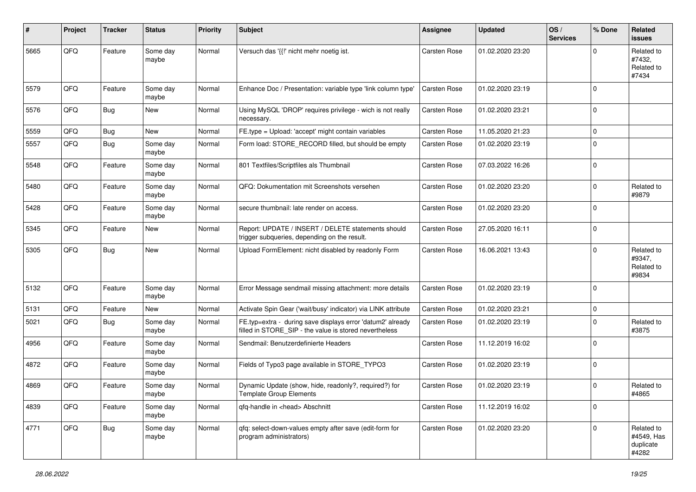| #    | Project | <b>Tracker</b> | <b>Status</b>     | <b>Priority</b> | <b>Subject</b>                                                                                                       | Assignee     | <b>Updated</b>   | OS/<br><b>Services</b> | % Done      | Related<br><b>issues</b>                       |
|------|---------|----------------|-------------------|-----------------|----------------------------------------------------------------------------------------------------------------------|--------------|------------------|------------------------|-------------|------------------------------------------------|
| 5665 | QFQ     | Feature        | Some day<br>maybe | Normal          | Versuch das '{{!' nicht mehr noetig ist.                                                                             | Carsten Rose | 01.02.2020 23:20 |                        | ∩           | Related to<br>#7432,<br>Related to<br>#7434    |
| 5579 | QFQ     | Feature        | Some day<br>maybe | Normal          | Enhance Doc / Presentation: variable type 'link column type'                                                         | Carsten Rose | 01.02.2020 23:19 |                        | $\Omega$    |                                                |
| 5576 | QFQ     | Bug            | <b>New</b>        | Normal          | Using MySQL 'DROP' requires privilege - wich is not really<br>necessary.                                             | Carsten Rose | 01.02.2020 23:21 |                        | $\mathbf 0$ |                                                |
| 5559 | QFQ     | <b>Bug</b>     | New               | Normal          | FE.type = Upload: 'accept' might contain variables                                                                   | Carsten Rose | 11.05.2020 21:23 |                        | $\Omega$    |                                                |
| 5557 | QFQ     | Bug            | Some day<br>maybe | Normal          | Form load: STORE RECORD filled, but should be empty                                                                  | Carsten Rose | 01.02.2020 23:19 |                        | $\Omega$    |                                                |
| 5548 | QFQ     | Feature        | Some day<br>maybe | Normal          | 801 Textfiles/Scriptfiles als Thumbnail                                                                              | Carsten Rose | 07.03.2022 16:26 |                        | $\mathbf 0$ |                                                |
| 5480 | QFQ     | Feature        | Some day<br>maybe | Normal          | QFQ: Dokumentation mit Screenshots versehen                                                                          | Carsten Rose | 01.02.2020 23:20 |                        | $\mathbf 0$ | Related to<br>#9879                            |
| 5428 | QFQ     | Feature        | Some day<br>maybe | Normal          | secure thumbnail: late render on access.                                                                             | Carsten Rose | 01.02.2020 23:20 |                        | $\Omega$    |                                                |
| 5345 | QFQ     | Feature        | <b>New</b>        | Normal          | Report: UPDATE / INSERT / DELETE statements should<br>trigger subqueries, depending on the result.                   | Carsten Rose | 27.05.2020 16:11 |                        | $\mathbf 0$ |                                                |
| 5305 | QFQ     | Bug            | New               | Normal          | Upload FormElement: nicht disabled by readonly Form                                                                  | Carsten Rose | 16.06.2021 13:43 |                        | $\Omega$    | Related to<br>#9347,<br>Related to<br>#9834    |
| 5132 | QFQ     | Feature        | Some day<br>maybe | Normal          | Error Message sendmail missing attachment: more details                                                              | Carsten Rose | 01.02.2020 23:19 |                        | $\mathbf 0$ |                                                |
| 5131 | QFQ     | Feature        | New               | Normal          | Activate Spin Gear ('wait/busy' indicator) via LINK attribute                                                        | Carsten Rose | 01.02.2020 23:21 |                        | 0           |                                                |
| 5021 | QFQ     | Bug            | Some day<br>maybe | Normal          | FE.typ=extra - during save displays error 'datum2' already<br>filled in STORE_SIP - the value is stored nevertheless | Carsten Rose | 01.02.2020 23:19 |                        | $\Omega$    | Related to<br>#3875                            |
| 4956 | QFQ     | Feature        | Some day<br>maybe | Normal          | Sendmail: Benutzerdefinierte Headers                                                                                 | Carsten Rose | 11.12.2019 16:02 |                        | $\Omega$    |                                                |
| 4872 | QFQ     | Feature        | Some day<br>maybe | Normal          | Fields of Typo3 page available in STORE_TYPO3                                                                        | Carsten Rose | 01.02.2020 23:19 |                        | $\mathbf 0$ |                                                |
| 4869 | QFQ     | Feature        | Some day<br>maybe | Normal          | Dynamic Update (show, hide, readonly?, required?) for<br><b>Template Group Elements</b>                              | Carsten Rose | 01.02.2020 23:19 |                        | $\Omega$    | Related to<br>#4865                            |
| 4839 | QFQ     | Feature        | Some day<br>maybe | Normal          | qfq-handle in <head> Abschnitt</head>                                                                                | Carsten Rose | 11.12.2019 16:02 |                        | 0           |                                                |
| 4771 | QFQ     | <b>Bug</b>     | Some day<br>maybe | Normal          | qfq: select-down-values empty after save (edit-form for<br>program administrators)                                   | Carsten Rose | 01.02.2020 23:20 |                        | $\mathbf 0$ | Related to<br>#4549, Has<br>duplicate<br>#4282 |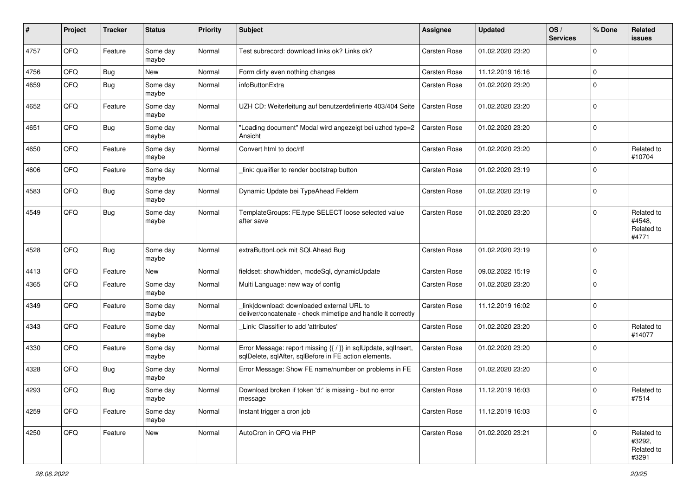| #    | Project | <b>Tracker</b> | <b>Status</b>     | <b>Priority</b> | <b>Subject</b>                                                                                                          | Assignee     | <b>Updated</b>   | OS/<br><b>Services</b> | % Done         | Related<br><b>issues</b>                    |
|------|---------|----------------|-------------------|-----------------|-------------------------------------------------------------------------------------------------------------------------|--------------|------------------|------------------------|----------------|---------------------------------------------|
| 4757 | QFQ     | Feature        | Some day<br>maybe | Normal          | Test subrecord: download links ok? Links ok?                                                                            | Carsten Rose | 01.02.2020 23:20 |                        | $\mathbf 0$    |                                             |
| 4756 | QFQ     | Bug            | <b>New</b>        | Normal          | Form dirty even nothing changes                                                                                         | Carsten Rose | 11.12.2019 16:16 |                        | $\mathbf 0$    |                                             |
| 4659 | QFQ     | Bug            | Some day<br>maybe | Normal          | infoButtonExtra                                                                                                         | Carsten Rose | 01.02.2020 23:20 |                        | $\mathbf 0$    |                                             |
| 4652 | QFQ     | Feature        | Some day<br>maybe | Normal          | UZH CD: Weiterleitung auf benutzerdefinierte 403/404 Seite                                                              | Carsten Rose | 01.02.2020 23:20 |                        | $\mathbf 0$    |                                             |
| 4651 | QFQ     | <b>Bug</b>     | Some day<br>maybe | Normal          | "Loading document" Modal wird angezeigt bei uzhcd type=2<br>Ansicht                                                     | Carsten Rose | 01.02.2020 23:20 |                        | $\Omega$       |                                             |
| 4650 | QFQ     | Feature        | Some day<br>maybe | Normal          | Convert html to doc/rtf                                                                                                 | Carsten Rose | 01.02.2020 23:20 |                        | $\mathbf 0$    | Related to<br>#10704                        |
| 4606 | QFQ     | Feature        | Some day<br>maybe | Normal          | link: qualifier to render bootstrap button                                                                              | Carsten Rose | 01.02.2020 23:19 |                        | $\mathbf 0$    |                                             |
| 4583 | QFQ     | Bug            | Some day<br>maybe | Normal          | Dynamic Update bei TypeAhead Feldern                                                                                    | Carsten Rose | 01.02.2020 23:19 |                        | $\overline{0}$ |                                             |
| 4549 | QFQ     | Bug            | Some day<br>maybe | Normal          | TemplateGroups: FE.type SELECT loose selected value<br>after save                                                       | Carsten Rose | 01.02.2020 23:20 |                        | $\Omega$       | Related to<br>#4548,<br>Related to<br>#4771 |
| 4528 | QFQ     | Bug            | Some day<br>maybe | Normal          | extraButtonLock mit SQLAhead Bug                                                                                        | Carsten Rose | 01.02.2020 23:19 |                        | 0              |                                             |
| 4413 | QFQ     | Feature        | New               | Normal          | fieldset: show/hidden, modeSql, dynamicUpdate                                                                           | Carsten Rose | 09.02.2022 15:19 |                        | $\mathbf 0$    |                                             |
| 4365 | QFQ     | Feature        | Some day<br>maybe | Normal          | Multi Language: new way of config                                                                                       | Carsten Rose | 01.02.2020 23:20 |                        | $\mathbf 0$    |                                             |
| 4349 | QFQ     | Feature        | Some day<br>maybe | Normal          | link download: downloaded external URL to<br>deliver/concatenate - check mimetipe and handle it correctly               | Carsten Rose | 11.12.2019 16:02 |                        | $\mathbf 0$    |                                             |
| 4343 | QFQ     | Feature        | Some day<br>maybe | Normal          | Link: Classifier to add 'attributes'                                                                                    | Carsten Rose | 01.02.2020 23:20 |                        | $\Omega$       | Related to<br>#14077                        |
| 4330 | QFQ     | Feature        | Some day<br>maybe | Normal          | Error Message: report missing {{ / }} in sqlUpdate, sqlInsert,<br>sqlDelete, sqlAfter, sqlBefore in FE action elements. | Carsten Rose | 01.02.2020 23:20 |                        | $\mathbf 0$    |                                             |
| 4328 | QFQ     | <b>Bug</b>     | Some day<br>maybe | Normal          | Error Message: Show FE name/number on problems in FE                                                                    | Carsten Rose | 01.02.2020 23:20 |                        | 0              |                                             |
| 4293 | QFQ     | Bug            | Some day<br>maybe | Normal          | Download broken if token 'd:' is missing - but no error<br>message                                                      | Carsten Rose | 11.12.2019 16:03 |                        | 0              | Related to<br>#7514                         |
| 4259 | QFQ     | Feature        | Some day<br>maybe | Normal          | Instant trigger a cron job                                                                                              | Carsten Rose | 11.12.2019 16:03 |                        | 0              |                                             |
| 4250 | QFG     | Feature        | New               | Normal          | AutoCron in QFQ via PHP                                                                                                 | Carsten Rose | 01.02.2020 23:21 |                        | $\mathbf 0$    | Related to<br>#3292,<br>Related to<br>#3291 |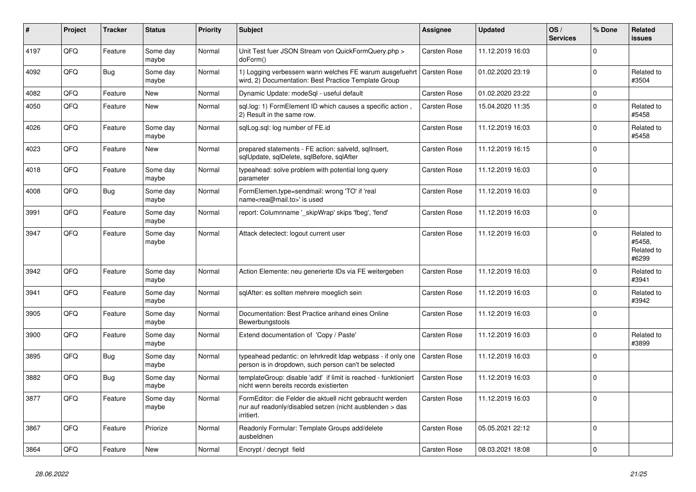| $\vert$ # | Project | <b>Tracker</b> | <b>Status</b>     | <b>Priority</b> | <b>Subject</b>                                                                                                                      | Assignee            | <b>Updated</b>   | OS/<br><b>Services</b> | % Done      | Related<br><b>issues</b>                    |
|-----------|---------|----------------|-------------------|-----------------|-------------------------------------------------------------------------------------------------------------------------------------|---------------------|------------------|------------------------|-------------|---------------------------------------------|
| 4197      | QFQ     | Feature        | Some day<br>maybe | Normal          | Unit Test fuer JSON Stream von QuickFormQuery.php ><br>doForm()                                                                     | Carsten Rose        | 11.12.2019 16:03 |                        | $\Omega$    |                                             |
| 4092      | QFQ     | Bug            | Some day<br>maybe | Normal          | 1) Logging verbessern wann welches FE warum ausgefuehrt<br>wird, 2) Documentation: Best Practice Template Group                     | <b>Carsten Rose</b> | 01.02.2020 23:19 |                        | $\Omega$    | Related to<br>#3504                         |
| 4082      | QFQ     | Feature        | New               | Normal          | Dynamic Update: modeSgl - useful default                                                                                            | Carsten Rose        | 01.02.2020 23:22 |                        | $\mathbf 0$ |                                             |
| 4050      | QFQ     | Feature        | New               | Normal          | sql.log: 1) FormElement ID which causes a specific action,<br>2) Result in the same row.                                            | <b>Carsten Rose</b> | 15.04.2020 11:35 |                        | $\Omega$    | Related to<br>#5458                         |
| 4026      | QFQ     | Feature        | Some day<br>maybe | Normal          | sqlLog.sql: log number of FE.id                                                                                                     | Carsten Rose        | 11.12.2019 16:03 |                        | $\Omega$    | Related to<br>#5458                         |
| 4023      | QFQ     | Feature        | <b>New</b>        | Normal          | prepared statements - FE action: salveld, sqllnsert,<br>sqlUpdate, sqlDelete, sqlBefore, sqlAfter                                   | <b>Carsten Rose</b> | 11.12.2019 16:15 |                        | $\Omega$    |                                             |
| 4018      | QFQ     | Feature        | Some day<br>maybe | Normal          | typeahead: solve problem with potential long query<br>parameter                                                                     | <b>Carsten Rose</b> | 11.12.2019 16:03 |                        | $\Omega$    |                                             |
| 4008      | QFQ     | Bug            | Some day<br>maybe | Normal          | FormElemen.type=sendmail: wrong 'TO' if 'real<br>name <rea@mail.to>' is used</rea@mail.to>                                          | Carsten Rose        | 11.12.2019 16:03 |                        | $\Omega$    |                                             |
| 3991      | QFQ     | Feature        | Some day<br>maybe | Normal          | report: Columnname ' skipWrap' skips 'fbeg', 'fend'                                                                                 | Carsten Rose        | 11.12.2019 16:03 |                        | $\mathbf 0$ |                                             |
| 3947      | QFQ     | Feature        | Some day<br>maybe | Normal          | Attack detectect: logout current user                                                                                               | Carsten Rose        | 11.12.2019 16:03 |                        | $\Omega$    | Related to<br>#5458,<br>Related to<br>#6299 |
| 3942      | QFQ     | Feature        | Some day<br>maybe | Normal          | Action Elemente: neu generierte IDs via FE weitergeben                                                                              | Carsten Rose        | 11.12.2019 16:03 |                        | $\Omega$    | Related to<br>#3941                         |
| 3941      | QFQ     | Feature        | Some day<br>maybe | Normal          | sqlAfter: es sollten mehrere moeglich sein                                                                                          | <b>Carsten Rose</b> | 11.12.2019 16:03 |                        | $\Omega$    | Related to<br>#3942                         |
| 3905      | QFQ     | Feature        | Some day<br>maybe | Normal          | Documentation: Best Practice anhand eines Online<br>Bewerbungstools                                                                 | <b>Carsten Rose</b> | 11.12.2019 16:03 |                        | $\mathbf 0$ |                                             |
| 3900      | QFQ     | Feature        | Some day<br>maybe | Normal          | Extend documentation of 'Copy / Paste'                                                                                              | Carsten Rose        | 11.12.2019 16:03 |                        | $\Omega$    | Related to<br>#3899                         |
| 3895      | QFQ     | Bug            | Some day<br>maybe | Normal          | typeahead pedantic: on lehrkredit Idap webpass - if only one<br>person is in dropdown, such person can't be selected                | Carsten Rose        | 11.12.2019 16:03 |                        | $\Omega$    |                                             |
| 3882      | QFQ     | <b>Bug</b>     | Some day<br>maybe | Normal          | templateGroup: disable 'add' if limit is reached - funktioniert<br>nicht wenn bereits records existierten                           | <b>Carsten Rose</b> | 11.12.2019 16:03 |                        | $\mathbf 0$ |                                             |
| 3877      | QFQ     | Feature        | Some day<br>maybe | Normal          | FormEditor: die Felder die aktuell nicht gebraucht werden<br>nur auf readonly/disabled setzen (nicht ausblenden > das<br>irritiert. | Carsten Rose        | 11.12.2019 16:03 |                        | $\Omega$    |                                             |
| 3867      | QFQ     | Feature        | Priorize          | Normal          | Readonly Formular: Template Groups add/delete<br>ausbeldnen                                                                         | <b>Carsten Rose</b> | 05.05.2021 22:12 |                        | $\Omega$    |                                             |
| 3864      | QFQ     | Feature        | <b>New</b>        | Normal          | Encrypt / decrypt field                                                                                                             | Carsten Rose        | 08.03.2021 18:08 |                        | $\mathbf 0$ |                                             |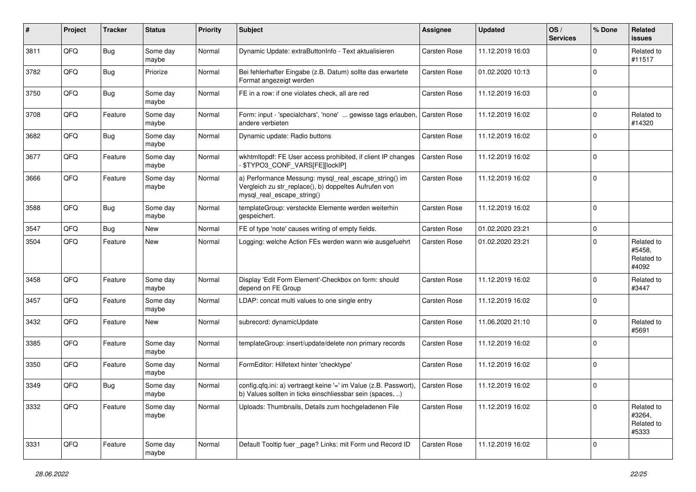| ∦    | Project | <b>Tracker</b> | <b>Status</b>     | <b>Priority</b> | Subject                                                                                                                                      | Assignee            | <b>Updated</b>   | OS/<br><b>Services</b> | % Done      | Related<br><b>issues</b>                    |
|------|---------|----------------|-------------------|-----------------|----------------------------------------------------------------------------------------------------------------------------------------------|---------------------|------------------|------------------------|-------------|---------------------------------------------|
| 3811 | QFQ     | Bug            | Some day<br>maybe | Normal          | Dynamic Update: extraButtonInfo - Text aktualisieren                                                                                         | Carsten Rose        | 11.12.2019 16:03 |                        | $\Omega$    | Related to<br>#11517                        |
| 3782 | QFQ     | Bug            | Priorize          | Normal          | Bei fehlerhafter Eingabe (z.B. Datum) sollte das erwartete<br>Format angezeigt werden                                                        | Carsten Rose        | 01.02.2020 10:13 |                        | $\Omega$    |                                             |
| 3750 | QFQ     | Bug            | Some dav<br>maybe | Normal          | FE in a row: if one violates check, all are red                                                                                              | Carsten Rose        | 11.12.2019 16:03 |                        | $\Omega$    |                                             |
| 3708 | QFQ     | Feature        | Some day<br>maybe | Normal          | Form: input - 'specialchars', 'none'  gewisse tags erlauben,<br>andere verbieten                                                             | Carsten Rose        | 11.12.2019 16:02 |                        | $\Omega$    | Related to<br>#14320                        |
| 3682 | QFQ     | Bug            | Some day<br>maybe | Normal          | Dynamic update: Radio buttons                                                                                                                | Carsten Rose        | 11.12.2019 16:02 |                        | $\Omega$    |                                             |
| 3677 | QFQ     | Feature        | Some day<br>maybe | Normal          | wkhtmltopdf: FE User access prohibited, if client IP changes<br>\$TYPO3_CONF_VARS[FE][lockIP]                                                | Carsten Rose        | 11.12.2019 16:02 |                        | $\Omega$    |                                             |
| 3666 | QFQ     | Feature        | Some day<br>maybe | Normal          | a) Performance Messung: mysql_real_escape_string() im<br>Vergleich zu str_replace(), b) doppeltes Aufrufen von<br>mysql_real_escape_string() | Carsten Rose        | 11.12.2019 16:02 |                        | $\Omega$    |                                             |
| 3588 | QFQ     | Bug            | Some day<br>maybe | Normal          | templateGroup: versteckte Elemente werden weiterhin<br>gespeichert.                                                                          | Carsten Rose        | 11.12.2019 16:02 |                        | $\Omega$    |                                             |
| 3547 | QFQ     | Bug            | <b>New</b>        | Normal          | FE of type 'note' causes writing of empty fields.                                                                                            | Carsten Rose        | 01.02.2020 23:21 |                        | $\mathbf 0$ |                                             |
| 3504 | QFQ     | Feature        | <b>New</b>        | Normal          | Logging: welche Action FEs werden wann wie ausgefuehrt                                                                                       | Carsten Rose        | 01.02.2020 23:21 |                        | $\Omega$    | Related to<br>#5458,<br>Related to<br>#4092 |
| 3458 | QFQ     | Feature        | Some day<br>maybe | Normal          | Display 'Edit Form Element'-Checkbox on form: should<br>depend on FE Group                                                                   | Carsten Rose        | 11.12.2019 16:02 |                        | $\Omega$    | Related to<br>#3447                         |
| 3457 | QFQ     | Feature        | Some day<br>maybe | Normal          | LDAP: concat multi values to one single entry                                                                                                | Carsten Rose        | 11.12.2019 16:02 |                        | $\Omega$    |                                             |
| 3432 | QFQ     | Feature        | <b>New</b>        | Normal          | subrecord: dynamicUpdate                                                                                                                     | Carsten Rose        | 11.06.2020 21:10 |                        | $\Omega$    | Related to<br>#5691                         |
| 3385 | QFQ     | Feature        | Some day<br>maybe | Normal          | templateGroup: insert/update/delete non primary records                                                                                      | Carsten Rose        | 11.12.2019 16:02 |                        | $\Omega$    |                                             |
| 3350 | QFQ     | Feature        | Some day<br>maybe | Normal          | FormEditor: Hilfetext hinter 'checktype'                                                                                                     | Carsten Rose        | 11.12.2019 16:02 |                        | $\Omega$    |                                             |
| 3349 | QFQ     | Bug            | Some day<br>maybe | Normal          | config.qfq.ini: a) vertraegt keine '=' im Value (z.B. Passwort),<br>b) Values sollten in ticks einschliessbar sein (spaces, )                | <b>Carsten Rose</b> | 11.12.2019 16:02 |                        | $\Omega$    |                                             |
| 3332 | QFQ     | Feature        | Some day<br>maybe | Normal          | Uploads: Thumbnails, Details zum hochgeladenen File                                                                                          | Carsten Rose        | 11.12.2019 16:02 |                        | $\Omega$    | Related to<br>#3264,<br>Related to<br>#5333 |
| 3331 | QFQ     | Feature        | Some day<br>maybe | Normal          | Default Tooltip fuer _page? Links: mit Form und Record ID                                                                                    | Carsten Rose        | 11.12.2019 16:02 |                        | 0           |                                             |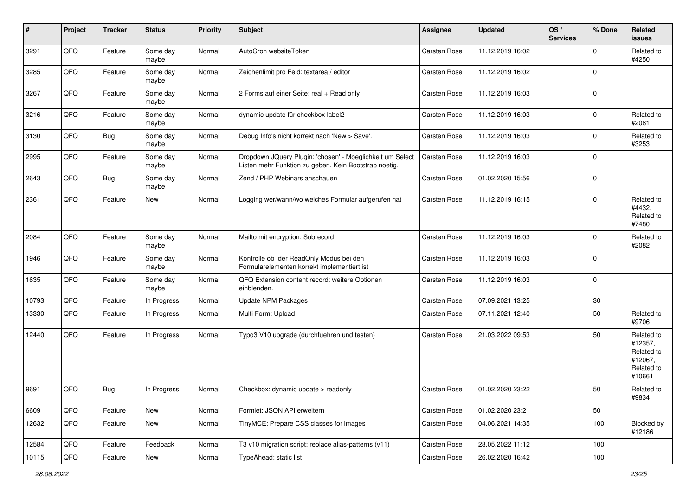| $\sharp$ | Project | <b>Tracker</b> | <b>Status</b>     | <b>Priority</b> | <b>Subject</b>                                                                                                     | Assignee            | <b>Updated</b>   | OS/<br><b>Services</b> | % Done      | Related<br><b>issues</b>                                               |
|----------|---------|----------------|-------------------|-----------------|--------------------------------------------------------------------------------------------------------------------|---------------------|------------------|------------------------|-------------|------------------------------------------------------------------------|
| 3291     | QFQ     | Feature        | Some day<br>maybe | Normal          | AutoCron websiteToken                                                                                              | Carsten Rose        | 11.12.2019 16:02 |                        | $\Omega$    | Related to<br>#4250                                                    |
| 3285     | QFQ     | Feature        | Some day<br>maybe | Normal          | Zeichenlimit pro Feld: textarea / editor                                                                           | Carsten Rose        | 11.12.2019 16:02 |                        | 0           |                                                                        |
| 3267     | QFQ     | Feature        | Some day<br>maybe | Normal          | 2 Forms auf einer Seite: real + Read only                                                                          | Carsten Rose        | 11.12.2019 16:03 |                        | $\mathbf 0$ |                                                                        |
| 3216     | QFQ     | Feature        | Some day<br>maybe | Normal          | dynamic update für checkbox label2                                                                                 | Carsten Rose        | 11.12.2019 16:03 |                        | $\mathbf 0$ | Related to<br>#2081                                                    |
| 3130     | QFQ     | <b>Bug</b>     | Some day<br>maybe | Normal          | Debug Info's nicht korrekt nach 'New > Save'.                                                                      | Carsten Rose        | 11.12.2019 16:03 |                        | $\mathbf 0$ | Related to<br>#3253                                                    |
| 2995     | QFQ     | Feature        | Some day<br>maybe | Normal          | Dropdown JQuery Plugin: 'chosen' - Moeglichkeit um Select<br>Listen mehr Funktion zu geben. Kein Bootstrap noetig. | Carsten Rose        | 11.12.2019 16:03 |                        | $\mathbf 0$ |                                                                        |
| 2643     | QFQ     | Bug            | Some day<br>maybe | Normal          | Zend / PHP Webinars anschauen                                                                                      | Carsten Rose        | 01.02.2020 15:56 |                        | $\mathbf 0$ |                                                                        |
| 2361     | QFQ     | Feature        | New               | Normal          | Logging wer/wann/wo welches Formular aufgerufen hat                                                                | Carsten Rose        | 11.12.2019 16:15 |                        | $\mathbf 0$ | Related to<br>#4432,<br>Related to<br>#7480                            |
| 2084     | QFQ     | Feature        | Some day<br>maybe | Normal          | Mailto mit encryption: Subrecord                                                                                   | Carsten Rose        | 11.12.2019 16:03 |                        | $\Omega$    | Related to<br>#2082                                                    |
| 1946     | QFQ     | Feature        | Some day<br>maybe | Normal          | Kontrolle ob der ReadOnly Modus bei den<br>Formularelementen korrekt implementiert ist                             | Carsten Rose        | 11.12.2019 16:03 |                        | $\mathbf 0$ |                                                                        |
| 1635     | QFQ     | Feature        | Some day<br>maybe | Normal          | QFQ Extension content record: weitere Optionen<br>einblenden.                                                      | Carsten Rose        | 11.12.2019 16:03 |                        | 0           |                                                                        |
| 10793    | QFQ     | Feature        | In Progress       | Normal          | Update NPM Packages                                                                                                | Carsten Rose        | 07.09.2021 13:25 |                        | 30          |                                                                        |
| 13330    | QFQ     | Feature        | In Progress       | Normal          | Multi Form: Upload                                                                                                 | Carsten Rose        | 07.11.2021 12:40 |                        | 50          | Related to<br>#9706                                                    |
| 12440    | QFQ     | Feature        | In Progress       | Normal          | Typo3 V10 upgrade (durchfuehren und testen)                                                                        | Carsten Rose        | 21.03.2022 09:53 |                        | 50          | Related to<br>#12357,<br>Related to<br>#12067,<br>Related to<br>#10661 |
| 9691     | QFQ     | Bug            | In Progress       | Normal          | Checkbox: dynamic update > readonly                                                                                | <b>Carsten Rose</b> | 01.02.2020 23:22 |                        | 50          | Related to<br>#9834                                                    |
| 6609     | QFG     | Feature        | New               | Normal          | Formlet: JSON API erweitern                                                                                        | Carsten Rose        | 01.02.2020 23:21 |                        | 50          |                                                                        |
| 12632    | QFQ     | Feature        | New               | Normal          | TinyMCE: Prepare CSS classes for images                                                                            | Carsten Rose        | 04.06.2021 14:35 |                        | 100         | Blocked by<br>#12186                                                   |
| 12584    | QFQ     | Feature        | Feedback          | Normal          | T3 v10 migration script: replace alias-patterns (v11)                                                              | Carsten Rose        | 28.05.2022 11:12 |                        | 100         |                                                                        |
| 10115    | QFQ     | Feature        | New               | Normal          | TypeAhead: static list                                                                                             | Carsten Rose        | 26.02.2020 16:42 |                        | 100         |                                                                        |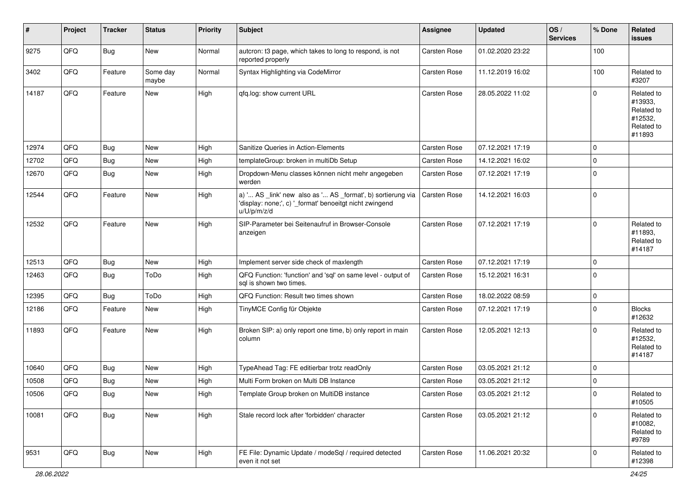| #     | Project | <b>Tracker</b> | <b>Status</b>     | <b>Priority</b> | <b>Subject</b>                                                                                                                        | <b>Assignee</b>     | <b>Updated</b>   | OS/<br><b>Services</b> | % Done      | Related<br><b>issues</b>                                               |
|-------|---------|----------------|-------------------|-----------------|---------------------------------------------------------------------------------------------------------------------------------------|---------------------|------------------|------------------------|-------------|------------------------------------------------------------------------|
| 9275  | QFQ     | Bug            | New               | Normal          | autcron: t3 page, which takes to long to respond, is not<br>reported properly                                                         | <b>Carsten Rose</b> | 01.02.2020 23:22 |                        | 100         |                                                                        |
| 3402  | QFQ     | Feature        | Some day<br>maybe | Normal          | Syntax Highlighting via CodeMirror                                                                                                    | <b>Carsten Rose</b> | 11.12.2019 16:02 |                        | 100         | Related to<br>#3207                                                    |
| 14187 | QFQ     | Feature        | New               | High            | qfq.log: show current URL                                                                                                             | <b>Carsten Rose</b> | 28.05.2022 11:02 |                        | $\Omega$    | Related to<br>#13933,<br>Related to<br>#12532,<br>Related to<br>#11893 |
| 12974 | QFQ     | Bug            | <b>New</b>        | High            | Sanitize Queries in Action-Elements                                                                                                   | <b>Carsten Rose</b> | 07.12.2021 17:19 |                        | $\Omega$    |                                                                        |
| 12702 | QFQ     | <b>Bug</b>     | New               | High            | templateGroup: broken in multiDb Setup                                                                                                | Carsten Rose        | 14.12.2021 16:02 |                        | $\Omega$    |                                                                        |
| 12670 | QFQ     | Bug            | New               | High            | Dropdown-Menu classes können nicht mehr angegeben<br>werden                                                                           | Carsten Rose        | 07.12.2021 17:19 |                        | $\Omega$    |                                                                        |
| 12544 | QFQ     | Feature        | New               | High            | a) ' AS _link' new also as ' AS _format', b) sortierung via<br>'display: none;', c) '_format' benoeitgt nicht zwingend<br>u/U/p/m/z/d | Carsten Rose        | 14.12.2021 16:03 |                        | $\Omega$    |                                                                        |
| 12532 | QFQ     | Feature        | New               | High            | SIP-Parameter bei Seitenaufruf in Browser-Console<br>anzeigen                                                                         | Carsten Rose        | 07.12.2021 17:19 |                        | $\Omega$    | Related to<br>#11893,<br>Related to<br>#14187                          |
| 12513 | QFQ     | Bug            | New               | High            | Implement server side check of maxlength                                                                                              | <b>Carsten Rose</b> | 07.12.2021 17:19 |                        | $\Omega$    |                                                                        |
| 12463 | QFQ     | Bug            | ToDo              | High            | QFQ Function: 'function' and 'sql' on same level - output of<br>sgl is shown two times.                                               | <b>Carsten Rose</b> | 15.12.2021 16:31 |                        | $\Omega$    |                                                                        |
| 12395 | QFQ     | Bug            | ToDo              | High            | QFQ Function: Result two times shown                                                                                                  | <b>Carsten Rose</b> | 18.02.2022 08:59 |                        | $\mathbf 0$ |                                                                        |
| 12186 | QFQ     | Feature        | New               | High            | TinyMCE Config für Objekte                                                                                                            | Carsten Rose        | 07.12.2021 17:19 |                        | $\Omega$    | <b>Blocks</b><br>#12632                                                |
| 11893 | QFQ     | Feature        | New               | High            | Broken SIP: a) only report one time, b) only report in main<br>column                                                                 | Carsten Rose        | 12.05.2021 12:13 |                        | $\Omega$    | Related to<br>#12532,<br>Related to<br>#14187                          |
| 10640 | QFQ     | Bug            | <b>New</b>        | High            | TypeAhead Tag: FE editierbar trotz readOnly                                                                                           | <b>Carsten Rose</b> | 03.05.2021 21:12 |                        | $\Omega$    |                                                                        |
| 10508 | QFQ     | <b>Bug</b>     | New               | High            | Multi Form broken on Multi DB Instance                                                                                                | Carsten Rose        | 03.05.2021 21:12 |                        | $\Omega$    |                                                                        |
| 10506 | QFQ     | Bug            | New               | High            | Template Group broken on MultiDB instance                                                                                             | Carsten Rose        | 03.05.2021 21:12 |                        | 0           | Related to<br>#10505                                                   |
| 10081 | QFQ     | Bug            | New               | High            | Stale record lock after 'forbidden' character                                                                                         | <b>Carsten Rose</b> | 03.05.2021 21:12 |                        | $\Omega$    | Related to<br>#10082.<br>Related to<br>#9789                           |
| 9531  | QFQ     | <b>Bug</b>     | New               | High            | FE File: Dynamic Update / modeSql / required detected<br>even it not set                                                              | Carsten Rose        | 11.06.2021 20:32 |                        | 0           | Related to<br>#12398                                                   |